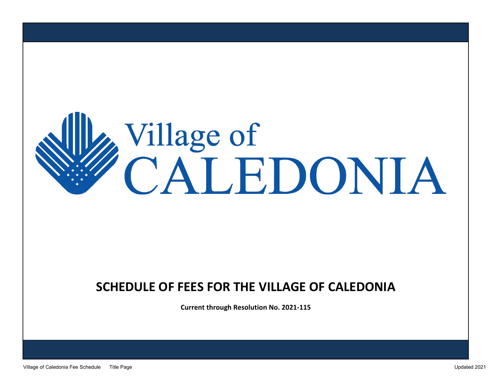## Village of<br>CALEDONIA

## **SCHEDULE OF FEES FOR THE VILLAGE OF CALEDONIA**

**Current through Resolution No. 2021-115**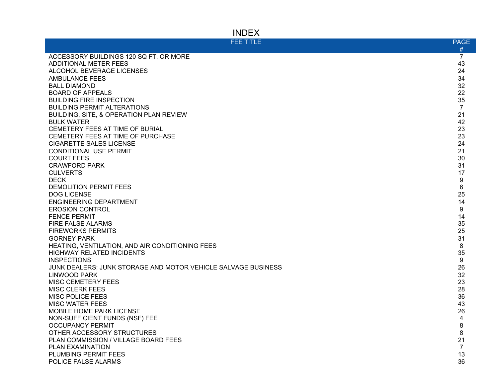## INDEX

| <b>FEE TITLE</b>                                              | <b>PAGE</b>    |
|---------------------------------------------------------------|----------------|
|                                                               | #              |
| ACCESSORY BUILDINGS 120 SQ FT. OR MORE                        | $\overline{7}$ |
| <b>ADDITIONAL METER FEES</b>                                  | 43             |
| ALCOHOL BEVERAGE LICENSES                                     | 24             |
| <b>AMBULANCE FEES</b>                                         | 34             |
| <b>BALL DIAMOND</b>                                           | 32             |
| <b>BOARD OF APPEALS</b>                                       | 22             |
| <b>BUILDING FIRE INSPECTION</b>                               | 35             |
| <b>BUILDING PERMIT ALTERATIONS</b>                            | $\overline{7}$ |
| BUILDING, SITE, & OPERATION PLAN REVIEW                       | 21             |
| <b>BULK WATER</b>                                             | 42             |
| CEMETERY FEES AT TIME OF BURIAL                               | 23             |
| CEMETERY FEES AT TIME OF PURCHASE                             | 23             |
| <b>CIGARETTE SALES LICENSE</b>                                | 24             |
| <b>CONDITIONAL USE PERMIT</b>                                 | 21             |
| <b>COURT FEES</b>                                             | 30             |
| <b>CRAWFORD PARK</b>                                          | 31             |
| <b>CULVERTS</b>                                               | 17             |
| <b>DECK</b>                                                   | 9              |
| DEMOLITION PERMIT FEES                                        | 6              |
| <b>DOG LICENSE</b>                                            | 25             |
| <b>ENGINEERING DEPARTMENT</b>                                 | 14             |
| <b>EROSION CONTROL</b>                                        | 9              |
| <b>FENCE PERMIT</b>                                           | 14             |
| FIRE FALSE ALARMS                                             | 35             |
| <b>FIREWORKS PERMITS</b>                                      | 25             |
| <b>GORNEY PARK</b>                                            | 31             |
| HEATING, VENTILATION, AND AIR CONDITIONING FEES               | 8              |
| <b>HIGHWAY RELATED INCIDENTS</b>                              | 35             |
| <b>INSPECTIONS</b>                                            | 9              |
| JUNK DEALERS: JUNK STORAGE AND MOTOR VEHICLE SALVAGE BUSINESS | 26             |
| <b>LINWOOD PARK</b>                                           | 32             |
| <b>MISC CEMETERY FEES</b>                                     | 23             |
| <b>MISC CLERK FEES</b>                                        | 28             |
| <b>MISC POLICE FEES</b>                                       | 36             |
| <b>MISC WATER FEES</b>                                        | 43             |
| MOBILE HOME PARK LICENSE                                      | 26             |
| NON-SUFFICIENT FUNDS (NSF) FEE                                | 4              |
| <b>OCCUPANCY PERMIT</b>                                       | 8              |
| OTHER ACCESSORY STRUCTURES                                    | 8              |
| PLAN COMMISSION / VILLAGE BOARD FEES                          | 21             |
| PLAN EXAMINATION                                              | $\overline{7}$ |
| <b>PLUMBING PERMIT FEES</b>                                   | 13             |
| POLICE FALSE ALARMS                                           | 36             |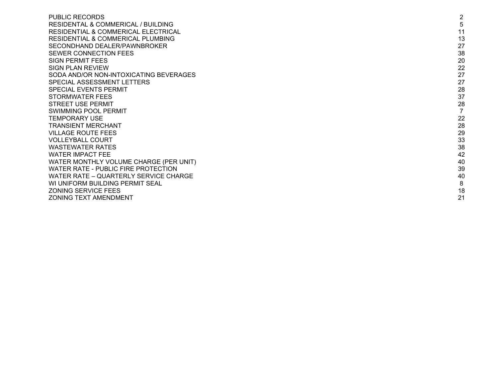| 5<br>11<br>13<br>27<br>38<br>20<br>22<br>27<br>27<br>28<br>37<br>28<br>$\overline{7}$<br>22<br>28<br>29<br>33<br>38<br>42<br>40<br>39<br>40<br>8<br>18<br>21 | <b>PUBLIC RECORDS</b>                          | $\overline{2}$ |
|--------------------------------------------------------------------------------------------------------------------------------------------------------------|------------------------------------------------|----------------|
|                                                                                                                                                              | RESIDENTAL & COMMERICAL / BUILDING             |                |
|                                                                                                                                                              | <b>RESIDENTIAL &amp; COMMERICAL ELECTRICAL</b> |                |
|                                                                                                                                                              | <b>RESIDENTIAL &amp; COMMERICAL PLUMBING</b>   |                |
|                                                                                                                                                              | SECONDHAND DEALER/PAWNBROKER                   |                |
|                                                                                                                                                              | SEWER CONNECTION FEES                          |                |
|                                                                                                                                                              | <b>SIGN PERMIT FEES</b>                        |                |
|                                                                                                                                                              | SIGN PLAN REVIEW                               |                |
|                                                                                                                                                              | SODA AND/OR NON-INTOXICATING BEVERAGES         |                |
|                                                                                                                                                              | SPECIAL ASSESSMENT LETTERS                     |                |
|                                                                                                                                                              | <b>SPECIAL EVENTS PERMIT</b>                   |                |
|                                                                                                                                                              | STORMWATER FEES                                |                |
|                                                                                                                                                              | <b>STREET USE PERMIT</b>                       |                |
|                                                                                                                                                              | <b>SWIMMING POOL PERMIT</b>                    |                |
|                                                                                                                                                              | <b>TEMPORARY USE</b>                           |                |
|                                                                                                                                                              | <b>TRANSIENT MERCHANT</b>                      |                |
|                                                                                                                                                              | <b>VILLAGE ROUTE FEES</b>                      |                |
|                                                                                                                                                              | <b>VOLLEYBALL COURT</b>                        |                |
|                                                                                                                                                              | <b>WASTEWATER RATES</b>                        |                |
|                                                                                                                                                              | <b>WATER IMPACT FEE</b>                        |                |
|                                                                                                                                                              | WATER MONTHLY VOLUME CHARGE (PER UNIT)         |                |
|                                                                                                                                                              | WATER RATE - PUBLIC FIRE PROTECTION            |                |
|                                                                                                                                                              | WATER RATE - QUARTERLY SERVICE CHARGE          |                |
|                                                                                                                                                              | WI UNIFORM BUILDING PERMIT SEAL                |                |
|                                                                                                                                                              | <b>ZONING SERVICE FEES</b>                     |                |
|                                                                                                                                                              | <b>ZONING TEXT AMENDMENT</b>                   |                |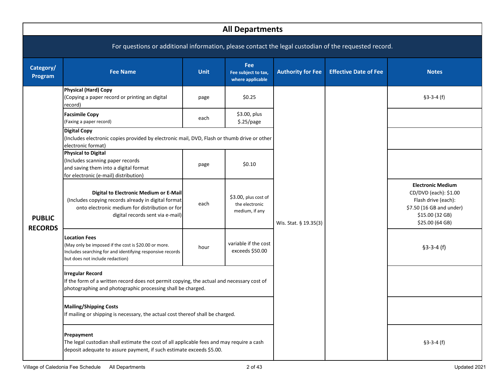<span id="page-3-0"></span>

|                      | <b>All Departments</b>                                                                                                                                                              |             |                                                          |                          |                              |                                                                                                                                            |  |  |  |  |
|----------------------|-------------------------------------------------------------------------------------------------------------------------------------------------------------------------------------|-------------|----------------------------------------------------------|--------------------------|------------------------------|--------------------------------------------------------------------------------------------------------------------------------------------|--|--|--|--|
|                      | For questions or additional information, please contact the legal custodian of the requested record.                                                                                |             |                                                          |                          |                              |                                                                                                                                            |  |  |  |  |
| Category/<br>Program | <b>Fee Name</b>                                                                                                                                                                     | <b>Unit</b> | <b>Fee</b><br>Fee subject to tax,<br>where applicable    | <b>Authority for Fee</b> | <b>Effective Date of Fee</b> | <b>Notes</b>                                                                                                                               |  |  |  |  |
|                      | <b>Physical (Hard) Copy</b><br>(Copying a paper record or printing an digital<br>record)                                                                                            | page        | \$0.25                                                   |                          |                              | $$3-3-4(f)$                                                                                                                                |  |  |  |  |
|                      | <b>Facsimile Copy</b><br>(Faxing a paper record)                                                                                                                                    | each        | \$3.00, plus<br>\$.25/page                               |                          |                              |                                                                                                                                            |  |  |  |  |
| <b>PUBLIC</b>        | <b>Digital Copy</b><br>(Includes electronic copies provided by electronic mail, DVD, Flash or thumb drive or other<br>electronic format)                                            |             |                                                          |                          |                              |                                                                                                                                            |  |  |  |  |
|                      | <b>Physical to Digital</b><br>(Includes scanning paper records<br>and saving them into a digital format<br>for electronic (e-mail) distribution)                                    | page        | \$0.10                                                   |                          |                              |                                                                                                                                            |  |  |  |  |
|                      | Digital to Electronic Medium or E-Mail<br>(Includes copying records already in digital format<br>onto electronic medium for distribution or for<br>digital records sent via e-mail) | each        | \$3.00, plus cost of<br>the electronic<br>medium, if any | Wis. Stat. § 19.35(3)    |                              | <b>Electronic Medium</b><br>CD/DVD (each): \$1.00<br>Flash drive (each):<br>\$7.50 (16 GB and under)<br>\$15.00 (32 GB)<br>\$25.00 (64 GB) |  |  |  |  |
| <b>RECORDS</b>       | <b>Location Fees</b><br>(May only be imposed if the cost is \$20.00 or more.<br>Includes searching for and identifying responsive records<br>but does not include redaction)        | hour        | variable if the cost<br>exceeds \$50.00                  |                          |                              | $$3-3-4(f)$                                                                                                                                |  |  |  |  |
|                      | <b>Irregular Record</b><br>If the form of a written record does not permit copying, the actual and necessary cost of<br>photographing and photographic processing shall be charged. |             |                                                          |                          |                              |                                                                                                                                            |  |  |  |  |
|                      | <b>Mailing/Shipping Costs</b><br>If mailing or shipping is necessary, the actual cost thereof shall be charged.                                                                     |             |                                                          |                          |                              |                                                                                                                                            |  |  |  |  |
|                      | Prepayment<br>The legal custodian shall estimate the cost of all applicable fees and may require a cash<br>deposit adequate to assure payment, if such estimate exceeds \$5.00.     |             |                                                          |                          |                              | $$3-3-4(f)$                                                                                                                                |  |  |  |  |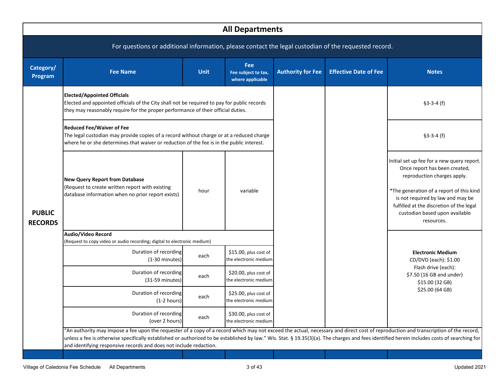|                                 | <b>All Departments</b>                                                                                                                                                                                                                                                                                                                                                                                                                                    |             |                                                |                          |                              |                                                                                                                                                                                                                                                                                         |  |  |  |  |
|---------------------------------|-----------------------------------------------------------------------------------------------------------------------------------------------------------------------------------------------------------------------------------------------------------------------------------------------------------------------------------------------------------------------------------------------------------------------------------------------------------|-------------|------------------------------------------------|--------------------------|------------------------------|-----------------------------------------------------------------------------------------------------------------------------------------------------------------------------------------------------------------------------------------------------------------------------------------|--|--|--|--|
|                                 | For questions or additional information, please contact the legal custodian of the requested record.                                                                                                                                                                                                                                                                                                                                                      |             |                                                |                          |                              |                                                                                                                                                                                                                                                                                         |  |  |  |  |
| Category/<br>Program            | <b>Fee Name</b>                                                                                                                                                                                                                                                                                                                                                                                                                                           | <b>Unit</b> | Fee<br>Fee subject to tax,<br>where applicable | <b>Authority for Fee</b> | <b>Effective Date of Fee</b> | <b>Notes</b>                                                                                                                                                                                                                                                                            |  |  |  |  |
|                                 | <b>Elected/Appointed Officials</b><br>Elected and appointed officials of the City shall not be required to pay for public records<br>they may reasonably require for the proper performance of their official duties.                                                                                                                                                                                                                                     |             |                                                |                          |                              | $$3-3-4(f)$                                                                                                                                                                                                                                                                             |  |  |  |  |
|                                 | <b>Reduced Fee/Waiver of Fee</b><br>The legal custodian may provide copies of a record without charge or at a reduced charge<br>where he or she determines that waiver or reduction of the fee is in the public interest.                                                                                                                                                                                                                                 |             |                                                |                          |                              | $$3-3-4(f)$                                                                                                                                                                                                                                                                             |  |  |  |  |
| <b>PUBLIC</b><br><b>RECORDS</b> | <b>New Query Report from Database</b><br>(Request to create written report with existing<br>database information when no prior report exists)                                                                                                                                                                                                                                                                                                             | hour        | variable                                       |                          |                              | Initial set up fee for a new query report.<br>Once report has been created,<br>reproduction charges apply.<br>*The generation of a report of this kind<br>is not required by law and may be<br>fulfilled at the discretion of the legal<br>custodian based upon available<br>resources. |  |  |  |  |
|                                 | Audio/Video Record<br>(Request to copy video or audio recording; digital to electronic medium)                                                                                                                                                                                                                                                                                                                                                            |             |                                                |                          |                              |                                                                                                                                                                                                                                                                                         |  |  |  |  |
|                                 | Duration of recording<br>$(1-30 \text{ minutes})$                                                                                                                                                                                                                                                                                                                                                                                                         | each        | \$15.00, plus cost of<br>the electronic medium |                          |                              | <b>Electronic Medium</b><br>CD/DVD (each): \$1.00                                                                                                                                                                                                                                       |  |  |  |  |
|                                 | Duration of recording<br>$(31-59$ minutes)                                                                                                                                                                                                                                                                                                                                                                                                                | each        | \$20.00, plus cost of<br>the electronic medium |                          |                              | Flash drive (each):<br>\$7.50 (16 GB and under)<br>\$15.00 (32 GB)                                                                                                                                                                                                                      |  |  |  |  |
|                                 | Duration of recording<br>$(1-2 hours)$                                                                                                                                                                                                                                                                                                                                                                                                                    | each        | \$25.00, plus cost of<br>the electronic medium |                          |                              | \$25.00 (64 GB)                                                                                                                                                                                                                                                                         |  |  |  |  |
|                                 | Duration of recording<br>(over 2 hours)                                                                                                                                                                                                                                                                                                                                                                                                                   | each        | \$30.00, plus cost of<br>the electronic medium |                          |                              |                                                                                                                                                                                                                                                                                         |  |  |  |  |
|                                 | "An authority may impose a fee upon the requester of a copy of a record which may not exceed the actual, necessary and direct cost of reproduction and transcription of the record,<br>unless a fee is otherwise specifically established or authorized to be established by law." Wis. Stat. § 19.35(3)(a). The charges and fees identified herein includes costs of searching for<br>and identifying responsive records and does not include redaction. |             |                                                |                          |                              |                                                                                                                                                                                                                                                                                         |  |  |  |  |
|                                 |                                                                                                                                                                                                                                                                                                                                                                                                                                                           |             |                                                |                          |                              |                                                                                                                                                                                                                                                                                         |  |  |  |  |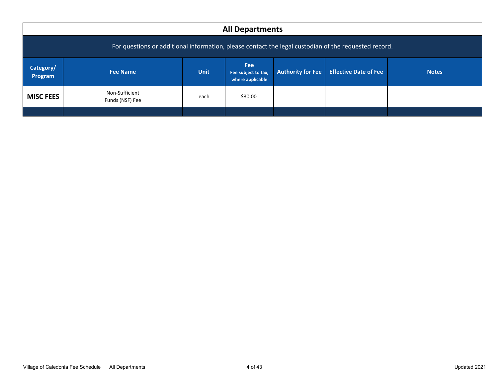<span id="page-5-0"></span>

|                                                                                                                                                                                      | <b>All Departments</b>            |      |         |  |  |  |  |  |  |  |
|--------------------------------------------------------------------------------------------------------------------------------------------------------------------------------------|-----------------------------------|------|---------|--|--|--|--|--|--|--|
| For questions or additional information, please contact the legal custodian of the requested record.                                                                                 |                                   |      |         |  |  |  |  |  |  |  |
| Fee<br>Category/<br><b>Effective Date of Fee</b><br><b>Unit</b><br><b>Authority for Fee</b><br><b>Notes</b><br><b>Fee Name</b><br>Fee subject to tax,<br>Program<br>where applicable |                                   |      |         |  |  |  |  |  |  |  |
| <b>MISC FEES</b>                                                                                                                                                                     | Non-Sufficient<br>Funds (NSF) Fee | each | \$30.00 |  |  |  |  |  |  |  |
|                                                                                                                                                                                      |                                   |      |         |  |  |  |  |  |  |  |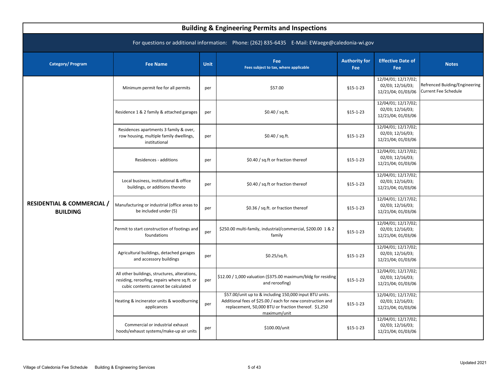<span id="page-6-0"></span>

| <b>Building &amp; Engineering Permits and Inspections</b>                                      |                                                                                                                                      |             |                                                                                                                                                                                               |                             |                                                               |                                                              |  |  |  |  |
|------------------------------------------------------------------------------------------------|--------------------------------------------------------------------------------------------------------------------------------------|-------------|-----------------------------------------------------------------------------------------------------------------------------------------------------------------------------------------------|-----------------------------|---------------------------------------------------------------|--------------------------------------------------------------|--|--|--|--|
| For questions or additional information: Phone: (262) 835-6435 E-Mail: EWaege@caledonia-wi.gov |                                                                                                                                      |             |                                                                                                                                                                                               |                             |                                                               |                                                              |  |  |  |  |
| Category/Program                                                                               | <b>Fee Name</b>                                                                                                                      | <b>Unit</b> | Fee<br>Fees subject to tax, where applicable                                                                                                                                                  | <b>Authority for</b><br>Fee | <b>Effective Date of</b><br>Fee                               | <b>Notes</b>                                                 |  |  |  |  |
|                                                                                                | Minimum permit fee for all permits                                                                                                   | per         | \$57.00                                                                                                                                                                                       | $$15-1-23$                  | 12/04/01; 12/17/02;<br>02/03; 12/16/03;<br>12/21/04; 01/03/06 | Refrenced Buiding/Engineering<br><b>Current Fee Schedule</b> |  |  |  |  |
|                                                                                                | Residence 1 & 2 family & attached garages                                                                                            | per         | \$0.40 / sq.fit.                                                                                                                                                                              | $§15 - 1 - 23$              | 12/04/01; 12/17/02;<br>02/03; 12/16/03;<br>12/21/04; 01/03/06 |                                                              |  |  |  |  |
|                                                                                                | Residences apartments 3 family & over,<br>row housing, multiple family dwellings,<br>institutional                                   | per         | \$0.40 / sq.fit.                                                                                                                                                                              | $$15-1-23$                  | 12/04/01; 12/17/02;<br>02/03; 12/16/03;<br>12/21/04; 01/03/06 |                                                              |  |  |  |  |
|                                                                                                | Residences - additions                                                                                                               | per         | \$0.40 / sq.ft or fraction thereof                                                                                                                                                            | $$15-1-23$                  | 12/04/01; 12/17/02;<br>02/03; 12/16/03;<br>12/21/04; 01/03/06 |                                                              |  |  |  |  |
|                                                                                                | Local business, institutional & office<br>buildings, or additions thereto                                                            | per         | \$0.40 / sq.ft or fraction thereof                                                                                                                                                            | $§15 - 1 - 23$              | 12/04/01; 12/17/02;<br>02/03; 12/16/03;<br>12/21/04; 01/03/06 |                                                              |  |  |  |  |
| <b>RESIDENTIAL &amp; COMMERCIAL /</b><br><b>BUILDING</b>                                       | Manufacturing or industrial (office areas to<br>be included under (5)                                                                | per         | \$0.36 / sq.ft. or fraction thereof                                                                                                                                                           | $$15-1-23$                  | 12/04/01; 12/17/02;<br>02/03; 12/16/03;<br>12/21/04; 01/03/06 |                                                              |  |  |  |  |
|                                                                                                | Permit to start construction of footings and<br>foundations                                                                          | per         | \$250.00 multi-family, industrial/commercial, \$200.00 1 & 2<br>family                                                                                                                        | $$15-1-23$                  | 12/04/01; 12/17/02;<br>02/03; 12/16/03;<br>12/21/04; 01/03/06 |                                                              |  |  |  |  |
|                                                                                                | Agricultural buildings, detached garages<br>and accessory buildings                                                                  | per         | \$0.25/sq.ft.                                                                                                                                                                                 | $§15 - 1 - 23$              | 12/04/01; 12/17/02;<br>02/03; 12/16/03;<br>12/21/04; 01/03/06 |                                                              |  |  |  |  |
|                                                                                                | All other buildings, structures, alterations,<br>residing, reroofing, repairs where sq.ft. or<br>cubic contents cannot be calculated | per         | \$12.00 / 1,000 valuation (\$375.00 maximum/bldg for residing<br>and reroofing)                                                                                                               | $$15-1-23$                  | 12/04/01; 12/17/02;<br>02/03; 12/16/03;<br>12/21/04; 01/03/06 |                                                              |  |  |  |  |
|                                                                                                | Heating & incinerator units & woodburning<br>applicances                                                                             | per         | \$57.00/unit up to & including 150,000 input BTU units.<br>Additional fees of \$25.00 / each for new construction and<br>replacement, 50,000 BTU or fraction thereof. \$1,250<br>maximum/unit | $$15-1-23$                  | 12/04/01; 12/17/02;<br>02/03; 12/16/03;<br>12/21/04; 01/03/06 |                                                              |  |  |  |  |
|                                                                                                | Commercial or industrial exhaust<br>hoods/exhaust systems/make-up air units                                                          | per         | \$100.00/unit                                                                                                                                                                                 | $§15 - 1 - 23$              | 12/04/01; 12/17/02;<br>02/03; 12/16/03;<br>12/21/04; 01/03/06 |                                                              |  |  |  |  |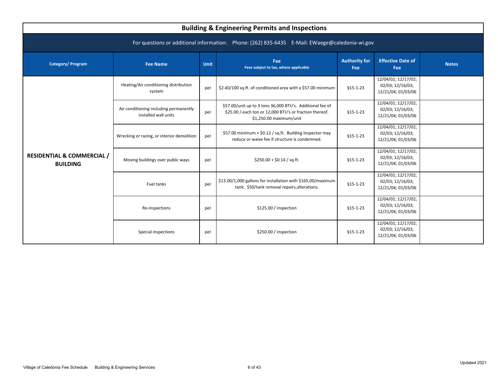<span id="page-7-0"></span>

| <b>Building &amp; Engineering Permits and Inspections</b>                                      |                                                                |             |                                                                                                                                                 |                             |                                                               |              |  |  |  |  |  |
|------------------------------------------------------------------------------------------------|----------------------------------------------------------------|-------------|-------------------------------------------------------------------------------------------------------------------------------------------------|-----------------------------|---------------------------------------------------------------|--------------|--|--|--|--|--|
| For questions or additional information: Phone: (262) 835-6435 E-Mail: EWaege@caledonia-wi.gov |                                                                |             |                                                                                                                                                 |                             |                                                               |              |  |  |  |  |  |
| <b>Category/Program</b>                                                                        | <b>Fee Name</b>                                                | <b>Unit</b> | Fee<br>Fees subject to tax, where applicable                                                                                                    | <b>Authority for</b><br>Fee | <b>Effective Date of</b><br>Fee                               | <b>Notes</b> |  |  |  |  |  |
|                                                                                                | Heating/Air conditioning distribution<br>system                | per         | \$2.40/100 sq.ft. of conditioned area with a \$57.00 minimum                                                                                    | $§15 - 1 - 23$              | 12/04/01; 12/17/02;<br>02/03; 12/16/03;<br>12/21/04; 01/03/06 |              |  |  |  |  |  |
|                                                                                                | Air conditioning including permanently<br>installed wall units | per         | \$57.00/unit up to 3 tons 36,000 BTU's. Additional fee of<br>\$25.00 / each ton or 12,000 BTU's or fraction thereof.<br>\$1,250.00 maximum/unit | $$15-1-23$                  | 12/04/01; 12/17/02;<br>02/03; 12/16/03;<br>12/21/04; 01/03/06 |              |  |  |  |  |  |
|                                                                                                | Wrecking or razing, or interior demolition                     | per         | \$57.00 minimum + \$0.12 / sq.ft. Building Inspector may<br>reduce or waive fee if structure is condemned.                                      | $§15 - 1 - 23$              | 12/04/01; 12/17/02;<br>02/03; 12/16/03;<br>12/21/04; 01/03/06 |              |  |  |  |  |  |
| <b>RESIDENTIAL &amp; COMMERCIAL /</b><br><b>BUILDING</b>                                       | Moving buildings over public ways                              | per         | $$250.00 + $0.14 / sq.fit.$                                                                                                                     | $§15 - 1 - 23$              | 12/04/01; 12/17/02;<br>02/03; 12/16/03;<br>12/21/04; 01/03/06 |              |  |  |  |  |  |
|                                                                                                | Fuel tanks                                                     | per         | \$13.00/1,000 gallons for installation with \$165.00/maximum<br>tank. \$50/tank removal repairs, alterations.                                   | $$15-1-23$                  | 12/04/01; 12/17/02;<br>02/03; 12/16/03;<br>12/21/04; 01/03/06 |              |  |  |  |  |  |
|                                                                                                | Re-inspections                                                 | per         | \$125.00 / inspection                                                                                                                           | $§15 - 1 - 23$              | 12/04/01; 12/17/02;<br>02/03; 12/16/03;<br>12/21/04; 01/03/06 |              |  |  |  |  |  |
|                                                                                                | Special inspections                                            | per         | \$250.00 / inspection                                                                                                                           | $§15 - 1 - 23$              | 12/04/01; 12/17/02;<br>02/03; 12/16/03;<br>12/21/04; 01/03/06 |              |  |  |  |  |  |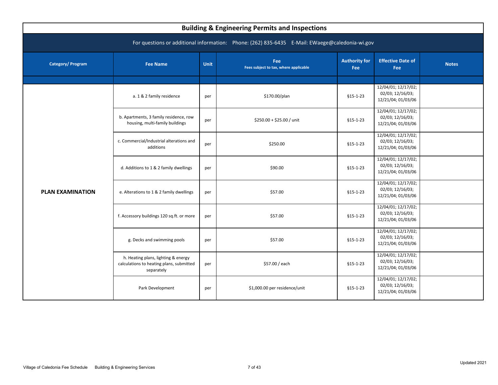<span id="page-8-0"></span>

| <b>Building &amp; Engineering Permits and Inspections</b>                                      |                                                                                               |      |                                              |                             |                                                               |              |  |  |  |  |
|------------------------------------------------------------------------------------------------|-----------------------------------------------------------------------------------------------|------|----------------------------------------------|-----------------------------|---------------------------------------------------------------|--------------|--|--|--|--|
| For questions or additional information: Phone: (262) 835-6435 E-Mail: EWaege@caledonia-wi.gov |                                                                                               |      |                                              |                             |                                                               |              |  |  |  |  |
| <b>Category/Program</b>                                                                        | <b>Fee Name</b>                                                                               | Unit | Fee<br>Fees subject to tax, where applicable | <b>Authority for</b><br>Fee | <b>Effective Date of</b><br>Fee                               | <b>Notes</b> |  |  |  |  |
|                                                                                                |                                                                                               |      |                                              |                             |                                                               |              |  |  |  |  |
|                                                                                                | a. 1 & 2 family residence                                                                     | per  | \$170.00/plan                                | $§15 - 1 - 23$              | 12/04/01; 12/17/02;<br>02/03; 12/16/03;<br>12/21/04; 01/03/06 |              |  |  |  |  |
|                                                                                                | b. Apartments, 3 family residence, row<br>housing, multi-family buildings                     | per  | \$250.00 + \$25.00 / unit                    | $§15 - 1 - 23$              | 12/04/01; 12/17/02;<br>02/03; 12/16/03;<br>12/21/04; 01/03/06 |              |  |  |  |  |
|                                                                                                | c. Commercial/Industrial alterations and<br>additions                                         | per  | \$250.00                                     | $§15 - 1 - 23$              | 12/04/01; 12/17/02;<br>02/03; 12/16/03;<br>12/21/04; 01/03/06 |              |  |  |  |  |
|                                                                                                | d. Additions to 1 & 2 family dwellings                                                        | per  | \$90.00                                      | $§15 - 1 - 23$              | 12/04/01; 12/17/02;<br>02/03; 12/16/03;<br>12/21/04; 01/03/06 |              |  |  |  |  |
| <b>PLAN EXAMINATION</b>                                                                        | e. Alterations to 1 & 2 family dwellings                                                      | per  | \$57.00                                      | $§15 - 1 - 23$              | 12/04/01; 12/17/02;<br>02/03; 12/16/03;<br>12/21/04; 01/03/06 |              |  |  |  |  |
|                                                                                                | f. Accessory buildings 120 sq.ft. or more                                                     | per  | \$57.00                                      | $§15 - 1 - 23$              | 12/04/01; 12/17/02;<br>02/03; 12/16/03;<br>12/21/04; 01/03/06 |              |  |  |  |  |
|                                                                                                | g. Decks and swimming pools                                                                   | per  | \$57.00                                      | $$15-1-23$                  | 12/04/01; 12/17/02;<br>02/03; 12/16/03;<br>12/21/04; 01/03/06 |              |  |  |  |  |
|                                                                                                | h. Heating plans, lighting & energy<br>calculations to heating plans, submitted<br>separately | per  | \$57.00 / each                               | $$15-1-23$                  | 12/04/01; 12/17/02;<br>02/03; 12/16/03;<br>12/21/04; 01/03/06 |              |  |  |  |  |
|                                                                                                | Park Development                                                                              | per  | \$1,000.00 per residence/unit                | $§15 - 1 - 23$              | 12/04/01; 12/17/02;<br>02/03; 12/16/03;<br>12/21/04; 01/03/06 |              |  |  |  |  |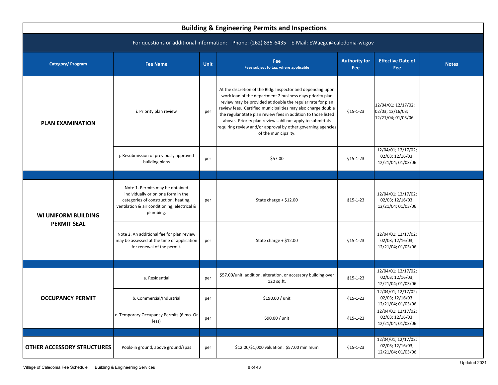<span id="page-9-0"></span>

| <b>Building &amp; Engineering Permits and Inspections</b> |                                                                                                                                                                            |             |                                                                                                                                                                                                                                                                                                                                                                                                                                                                               |                             |                                                               |              |  |  |  |  |
|-----------------------------------------------------------|----------------------------------------------------------------------------------------------------------------------------------------------------------------------------|-------------|-------------------------------------------------------------------------------------------------------------------------------------------------------------------------------------------------------------------------------------------------------------------------------------------------------------------------------------------------------------------------------------------------------------------------------------------------------------------------------|-----------------------------|---------------------------------------------------------------|--------------|--|--|--|--|
|                                                           | For questions or additional information: Phone: (262) 835-6435 E-Mail: EWaege@caledonia-wi.gov                                                                             |             |                                                                                                                                                                                                                                                                                                                                                                                                                                                                               |                             |                                                               |              |  |  |  |  |
| <b>Category/Program</b>                                   | <b>Fee Name</b>                                                                                                                                                            | <b>Unit</b> | Fee<br>Fees subject to tax, where applicable                                                                                                                                                                                                                                                                                                                                                                                                                                  | <b>Authority for</b><br>Fee | <b>Effective Date of</b><br>Fee                               | <b>Notes</b> |  |  |  |  |
| <b>PLAN EXAMINATION</b>                                   | i. Priority plan review                                                                                                                                                    | per         | At the discretion of the Bldg. Inspector and depending upon<br>work load of the department 2 business days priority plan<br>review may be provided at double the regular rate for plan<br>review fees. Certified municipalities may also charge double<br>the regular State plan review fees in addition to those listed<br>above. Priority plan review sahll not apply to submittals<br>requiring review and/or approval by other governing agencies<br>of the municipality. | $$15-1-23$                  | 12/04/01; 12/17/02;<br>02/03; 12/16/03;<br>12/21/04; 01/03/06 |              |  |  |  |  |
|                                                           | j. Resubmission of previously approved<br>building plans                                                                                                                   | per         | \$57.00                                                                                                                                                                                                                                                                                                                                                                                                                                                                       | $$15-1-23$                  | 12/04/01; 12/17/02;<br>02/03; 12/16/03;<br>12/21/04; 01/03/06 |              |  |  |  |  |
|                                                           |                                                                                                                                                                            |             |                                                                                                                                                                                                                                                                                                                                                                                                                                                                               |                             |                                                               |              |  |  |  |  |
| <b>WI UNIFORM BUILDING</b>                                | Note 1. Permits may be obtained<br>individually or on one form in the<br>categories of construction, heating,<br>ventilation & air conditioning, electrical &<br>plumbing. | per         | State charge + \$12.00                                                                                                                                                                                                                                                                                                                                                                                                                                                        | $$15-1-23$                  | 12/04/01; 12/17/02;<br>02/03; 12/16/03;<br>12/21/04; 01/03/06 |              |  |  |  |  |
| <b>PERMIT SEAL</b>                                        | Note 2. An additional fee for plan review<br>may be assessed at the time of application<br>for renewal of the permit.                                                      | per         | State charge + \$12.00                                                                                                                                                                                                                                                                                                                                                                                                                                                        | $§15 - 1 - 23$              | 12/04/01; 12/17/02;<br>02/03; 12/16/03;<br>12/21/04; 01/03/06 |              |  |  |  |  |
|                                                           |                                                                                                                                                                            |             |                                                                                                                                                                                                                                                                                                                                                                                                                                                                               |                             |                                                               |              |  |  |  |  |
|                                                           | a. Residential                                                                                                                                                             | per         | \$57.00/unit, addition, alteration, or accessory building over<br>120 sq.ft.                                                                                                                                                                                                                                                                                                                                                                                                  | $$15-1-23$                  | 12/04/01; 12/17/02;<br>02/03; 12/16/03;<br>12/21/04; 01/03/06 |              |  |  |  |  |
| <b>OCCUPANCY PERMIT</b>                                   | b. Commercial/Industrial                                                                                                                                                   | per         | \$190.00 / unit                                                                                                                                                                                                                                                                                                                                                                                                                                                               | $$15-1-23$                  | 12/04/01; 12/17/02;<br>02/03; 12/16/03;<br>12/21/04; 01/03/06 |              |  |  |  |  |
|                                                           | c. Temporary Occupancy Permits (6 mo. Or<br>less)                                                                                                                          | per         | \$90.00 / unit                                                                                                                                                                                                                                                                                                                                                                                                                                                                | $$15-1-23$                  | 12/04/01; 12/17/02;<br>02/03; 12/16/03;<br>12/21/04; 01/03/06 |              |  |  |  |  |
|                                                           |                                                                                                                                                                            |             |                                                                                                                                                                                                                                                                                                                                                                                                                                                                               |                             |                                                               |              |  |  |  |  |
| <b>OTHER ACCESSORY STRUCTURES</b>                         | Pools-in ground, above ground/spas                                                                                                                                         | per         | \$12.00/\$1,000 valuation. \$57.00 minimum                                                                                                                                                                                                                                                                                                                                                                                                                                    | $$15-1-23$                  | 12/04/01; 12/17/02;<br>02/03; 12/16/03;<br>12/21/04; 01/03/06 |              |  |  |  |  |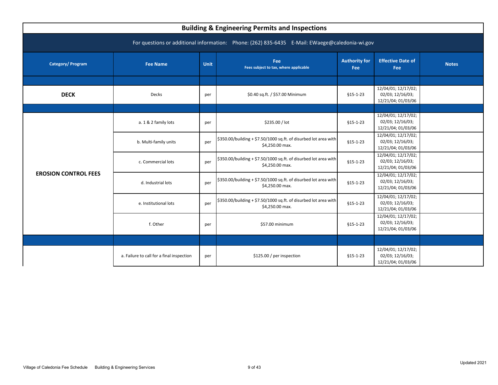<span id="page-10-0"></span>

| <b>Building &amp; Engineering Permits and Inspections</b>                                      |                                           |      |                                                                                     |                                    |                                                               |              |  |  |  |  |
|------------------------------------------------------------------------------------------------|-------------------------------------------|------|-------------------------------------------------------------------------------------|------------------------------------|---------------------------------------------------------------|--------------|--|--|--|--|
| For questions or additional information: Phone: (262) 835-6435 E-Mail: EWaege@caledonia-wi.gov |                                           |      |                                                                                     |                                    |                                                               |              |  |  |  |  |
| Category/ Program                                                                              | <b>Fee Name</b>                           | Unit | Fee<br>Fees subject to tax, where applicable                                        | <b>Authority for</b><br><b>Fee</b> | <b>Effective Date of</b><br>Fee                               | <b>Notes</b> |  |  |  |  |
|                                                                                                |                                           |      |                                                                                     |                                    |                                                               |              |  |  |  |  |
| <b>DECK</b>                                                                                    | Decks                                     | per  | \$0.40 sq.ft. / \$57.00 Minimum                                                     | $$15-1-23$                         | 12/04/01; 12/17/02;<br>02/03; 12/16/03;<br>12/21/04; 01/03/06 |              |  |  |  |  |
|                                                                                                |                                           |      |                                                                                     |                                    |                                                               |              |  |  |  |  |
|                                                                                                | a. 1 & 2 family lots                      | per  | \$235.00 / lot                                                                      | $§15 - 1 - 23$                     | 12/04/01; 12/17/02;<br>02/03; 12/16/03;<br>12/21/04; 01/03/06 |              |  |  |  |  |
|                                                                                                | b. Multi-family units                     | per  | \$350.00/building + \$7.50/1000 sq.ft. of disurbed lot area with<br>\$4,250.00 max. | $§15 - 1 - 23$                     | 12/04/01; 12/17/02;<br>02/03; 12/16/03;<br>12/21/04; 01/03/06 |              |  |  |  |  |
|                                                                                                | c. Commercial lots                        | per  | \$350.00/building + \$7.50/1000 sq.ft. of disurbed lot area with<br>\$4,250.00 max. | $§15 - 1 - 23$                     | 12/04/01; 12/17/02;<br>02/03; 12/16/03;<br>12/21/04; 01/03/06 |              |  |  |  |  |
| <b>EROSION CONTROL FEES</b>                                                                    | d. Industrial lots                        | per  | \$350.00/building + \$7.50/1000 sq.ft. of disurbed lot area with<br>\$4,250.00 max. | $§15 - 1 - 23$                     | 12/04/01; 12/17/02;<br>02/03; 12/16/03;<br>12/21/04; 01/03/06 |              |  |  |  |  |
|                                                                                                | e. Institutional lots                     | per  | \$350.00/building + \$7.50/1000 sq.ft. of disurbed lot area with<br>\$4,250.00 max. | $$15-1-23$                         | 12/04/01; 12/17/02;<br>02/03; 12/16/03;<br>12/21/04; 01/03/06 |              |  |  |  |  |
|                                                                                                | f. Other                                  | per  | \$57.00 minimum                                                                     | $§15 - 1 - 23$                     | 12/04/01; 12/17/02;<br>02/03; 12/16/03;<br>12/21/04; 01/03/06 |              |  |  |  |  |
|                                                                                                |                                           |      |                                                                                     |                                    |                                                               |              |  |  |  |  |
|                                                                                                | a. Failure to call for a final inspection | per  | \$125.00 / per inspection                                                           | $§15 - 1 - 23$                     | 12/04/01; 12/17/02;<br>02/03; 12/16/03;<br>12/21/04; 01/03/06 |              |  |  |  |  |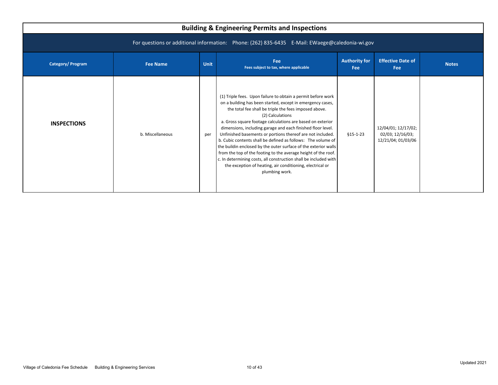| <b>Building &amp; Engineering Permits and Inspections</b>                                      |                  |             |                                                                                                                                                                                                                                                                                                                                                                                                                                                                                                                                                                                                                                                                                                                                                            |                                    |                                                               |              |  |  |  |  |
|------------------------------------------------------------------------------------------------|------------------|-------------|------------------------------------------------------------------------------------------------------------------------------------------------------------------------------------------------------------------------------------------------------------------------------------------------------------------------------------------------------------------------------------------------------------------------------------------------------------------------------------------------------------------------------------------------------------------------------------------------------------------------------------------------------------------------------------------------------------------------------------------------------------|------------------------------------|---------------------------------------------------------------|--------------|--|--|--|--|
| For questions or additional information: Phone: (262) 835-6435 E-Mail: EWaege@caledonia-wi.gov |                  |             |                                                                                                                                                                                                                                                                                                                                                                                                                                                                                                                                                                                                                                                                                                                                                            |                                    |                                                               |              |  |  |  |  |
| <b>Category/Program</b>                                                                        | <b>Fee Name</b>  | <b>Unit</b> | Fee<br>Fees subject to tax, where applicable                                                                                                                                                                                                                                                                                                                                                                                                                                                                                                                                                                                                                                                                                                               | <b>Authority for</b><br><b>Fee</b> | <b>Effective Date of</b><br>Fee                               | <b>Notes</b> |  |  |  |  |
| <b>INSPECTIONS</b>                                                                             | b. Miscellaneous | per         | (1) Triple fees. Upon failure to obtain a permit before work<br>on a building has been started, except in emergency cases,<br>the total fee shall be triple the fees imposed above.<br>(2) Calculations<br>a. Gross square footage calculations are based on exterior<br>dimensions, including garage and each finished floor level.<br>Unfinished basements or portions thereof are not included.<br>b. Cubic contents shall be defined as follows: The volume of<br>the buildin enclosed by the outer surface of the exterior walls<br>from the top of the footing to the average height of the roof.<br>c. In determining costs, all construction shall be included with<br>the exception of heating, air conditioning, electrical or<br>plumbing work. | $§15 - 1 - 23$                     | 12/04/01; 12/17/02;<br>02/03; 12/16/03;<br>12/21/04; 01/03/06 |              |  |  |  |  |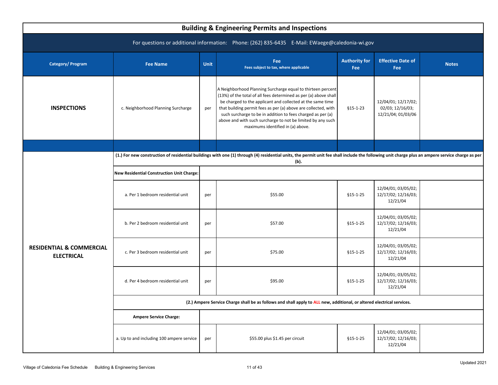<span id="page-12-0"></span>

|                                                          |                                                  |             | <b>Building &amp; Engineering Permits and Inspections</b>                                                                                                                                                                                                                                                                                                                                                                          |                                    |                                                               |              |
|----------------------------------------------------------|--------------------------------------------------|-------------|------------------------------------------------------------------------------------------------------------------------------------------------------------------------------------------------------------------------------------------------------------------------------------------------------------------------------------------------------------------------------------------------------------------------------------|------------------------------------|---------------------------------------------------------------|--------------|
|                                                          |                                                  |             | For questions or additional information: Phone: (262) 835-6435 E-Mail: EWaege@caledonia-wi.gov                                                                                                                                                                                                                                                                                                                                     |                                    |                                                               |              |
| <b>Category/Program</b>                                  | <b>Fee Name</b>                                  | <b>Unit</b> | Fee<br>Fees subject to tax, where applicable                                                                                                                                                                                                                                                                                                                                                                                       | <b>Authority for</b><br><b>Fee</b> | <b>Effective Date of</b><br><b>Fee</b>                        | <b>Notes</b> |
| <b>INSPECTIONS</b>                                       | c. Neighborhood Planning Surcharge               | per         | A Neighborhood Planning Surcharge equal to thirteen percent<br>(13%) of the total of all fees determined as per (a) above shall<br>be charged to the applicant and collected at the same time<br>that building permit fees as per (a) above are collected, with<br>such surcharge to be in addition to fees charged as per (a)<br>above and with such surcharge to not be limited by any such<br>maximums identified in (a) above. | $$15-1-23$                         | 12/04/01; 12/17/02;<br>02/03; 12/16/03;<br>12/21/04; 01/03/06 |              |
|                                                          |                                                  |             |                                                                                                                                                                                                                                                                                                                                                                                                                                    |                                    |                                                               |              |
|                                                          |                                                  |             | (1.) For new construction of residential buildings with one (1) through (4) residential units, the permit unit fee shall include the following unit charge plus an ampere service charge as per<br>(b).                                                                                                                                                                                                                            |                                    |                                                               |              |
|                                                          | <b>New Residential Construction Unit Charge:</b> |             |                                                                                                                                                                                                                                                                                                                                                                                                                                    |                                    |                                                               |              |
|                                                          | a. Per 1 bedroom residential unit                | per         | \$55.00                                                                                                                                                                                                                                                                                                                                                                                                                            | $§15 - 1 - 25$                     | 12/04/01; 03/05/02;<br>12/17/02; 12/16/03;<br>12/21/04        |              |
|                                                          | b. Per 2 bedroom residential unit                | per         | \$57.00                                                                                                                                                                                                                                                                                                                                                                                                                            | $$15-1-25$                         | 12/04/01; 03/05/02;<br>12/17/02; 12/16/03;<br>12/21/04        |              |
| <b>RESIDENTIAL &amp; COMMERCIAL</b><br><b>ELECTRICAL</b> | c. Per 3 bedroom residential unit                | per         | \$75.00                                                                                                                                                                                                                                                                                                                                                                                                                            | $$15-1-25$                         | 12/04/01; 03/05/02;<br>12/17/02; 12/16/03;<br>12/21/04        |              |
|                                                          | d. Per 4 bedroom residential unit                | per         | \$95.00                                                                                                                                                                                                                                                                                                                                                                                                                            | \$15-1-25                          | 12/04/01; 03/05/02;<br>12/17/02; 12/16/03;<br>12/21/04        |              |
|                                                          |                                                  |             | (2.) Ampere Service Charge shall be as follows and shall apply to ALL new, additional, or altered electrical services.                                                                                                                                                                                                                                                                                                             |                                    |                                                               |              |
|                                                          | <b>Ampere Service Charge:</b>                    |             |                                                                                                                                                                                                                                                                                                                                                                                                                                    |                                    |                                                               |              |
|                                                          | a. Up to and including 100 ampere service        | per         | \$55.00 plus \$1.45 per circuit                                                                                                                                                                                                                                                                                                                                                                                                    | $$15-1-25$                         | 12/04/01; 03/05/02;<br>12/17/02; 12/16/03;<br>12/21/04        |              |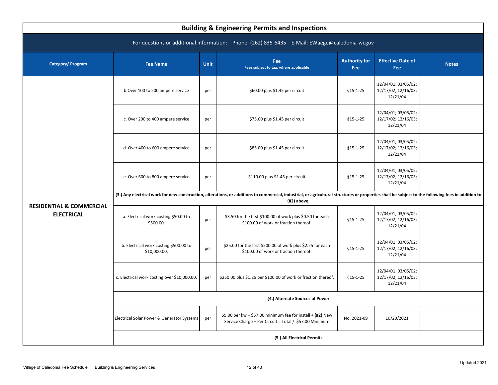| <b>Building &amp; Engineering Permits and Inspections</b>                                      |                                                                                                                                                                                                                     |      |                                                                                                                      |                             |                                                        |              |  |  |  |  |
|------------------------------------------------------------------------------------------------|---------------------------------------------------------------------------------------------------------------------------------------------------------------------------------------------------------------------|------|----------------------------------------------------------------------------------------------------------------------|-----------------------------|--------------------------------------------------------|--------------|--|--|--|--|
| For questions or additional information: Phone: (262) 835-6435 E-Mail: EWaege@caledonia-wi.gov |                                                                                                                                                                                                                     |      |                                                                                                                      |                             |                                                        |              |  |  |  |  |
| Category/ Program                                                                              | <b>Fee Name</b>                                                                                                                                                                                                     | Unit | <b>Fee</b><br>Fees subject to tax, where applicable                                                                  | <b>Authority for</b><br>Fee | <b>Effective Date of</b><br>Fee                        | <b>Notes</b> |  |  |  |  |
|                                                                                                | b.Over 100 to 200 ampere service                                                                                                                                                                                    | per  | \$60.00 plus \$1.45 per circuit                                                                                      | $§15 - 1 - 25$              | 12/04/01; 03/05/02;<br>12/17/02; 12/16/03;<br>12/21/04 |              |  |  |  |  |
|                                                                                                | c. Over 200 to 400 ampere service                                                                                                                                                                                   | per  | \$75.00 plus \$1.45 per circuit                                                                                      | $$15-1-25$                  | 12/04/01; 03/05/02;<br>12/17/02; 12/16/03;<br>12/21/04 |              |  |  |  |  |
|                                                                                                | d. Over 400 to 600 ampere service                                                                                                                                                                                   | per  | \$85.00 plus \$1.45 per circuit                                                                                      | $$15-1-25$                  | 12/04/01; 03/05/02;<br>12/17/02; 12/16/03;<br>12/21/04 |              |  |  |  |  |
|                                                                                                | e. Over 600 to 800 ampere service                                                                                                                                                                                   | per  | \$110.00 plus \$1.45 per circuit                                                                                     | $$15-1-25$                  | 12/04/01; 03/05/02;<br>12/17/02; 12/16/03;<br>12/21/04 |              |  |  |  |  |
|                                                                                                | (3.) Any electrical work for new construction, alterations, or additions to commercial, industrial, or agricultural structures or properties shall be subject to the following fees in addition to<br>$(42)$ above. |      |                                                                                                                      |                             |                                                        |              |  |  |  |  |
| <b>RESIDENTIAL &amp; COMMERCIAL</b><br><b>ELECTRICAL</b>                                       | a. Electrical work costing \$50.00 to<br>\$500.00.                                                                                                                                                                  | per  | \$3.50 for the first \$100.00 of work plus \$0.50 for each<br>\$100.00 of work or fraction thereof.                  | $$15-1-25$                  | 12/04/01; 03/05/02;<br>12/17/02; 12/16/03;<br>12/21/04 |              |  |  |  |  |
|                                                                                                | b. Electrical work costing \$500.00 to<br>\$10,000.00.                                                                                                                                                              | per  | \$25.00 for the first \$500.00 of work plus \$2.25 for each<br>\$100.00 of work or fraction thereof.                 | $§15 - 1 - 25$              | 12/04/01; 03/05/02;<br>12/17/02; 12/16/03;<br>12/21/04 |              |  |  |  |  |
|                                                                                                | c. Electrical work costing over \$10,000.00.                                                                                                                                                                        | per  | \$250.00 plus \$1.25 per \$100.00 of work or fraction thereof.                                                       | $$15-1-25$                  | 12/04/01; 03/05/02;<br>12/17/02; 12/16/03;<br>12/21/04 |              |  |  |  |  |
|                                                                                                |                                                                                                                                                                                                                     |      | (4.) Alternate Sources of Power                                                                                      |                             |                                                        |              |  |  |  |  |
|                                                                                                | Electrical Solar Power & Generator Systems                                                                                                                                                                          | per  | \$5.00 per kw + \$57.00 minimum fee for install + (#2) New<br>Service Charge + Per Circuit = Total / \$57.00 Minimum | No. 2021-09                 | 10/20/2021                                             |              |  |  |  |  |
|                                                                                                |                                                                                                                                                                                                                     |      | (5.) All Electrical Permits                                                                                          |                             |                                                        |              |  |  |  |  |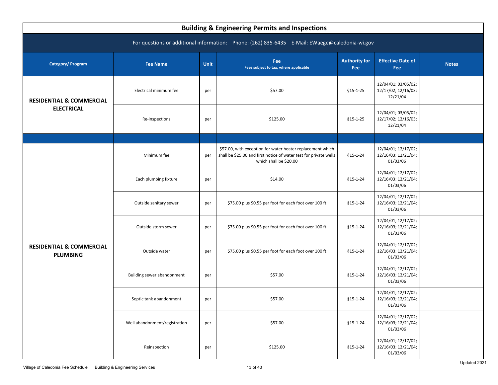<span id="page-14-0"></span>

| <b>Building &amp; Engineering Permits and Inspections</b>                                      |                               |      |                                                                                                                                                           |                             |                                                        |              |  |  |  |  |
|------------------------------------------------------------------------------------------------|-------------------------------|------|-----------------------------------------------------------------------------------------------------------------------------------------------------------|-----------------------------|--------------------------------------------------------|--------------|--|--|--|--|
| For questions or additional information: Phone: (262) 835-6435 E-Mail: EWaege@caledonia-wi.gov |                               |      |                                                                                                                                                           |                             |                                                        |              |  |  |  |  |
| <b>Category/Program</b>                                                                        | <b>Fee Name</b>               | Unit | Fee<br>Fees subject to tax, where applicable                                                                                                              | <b>Authority for</b><br>Fee | <b>Effective Date of</b><br>Fee                        | <b>Notes</b> |  |  |  |  |
| <b>RESIDENTIAL &amp; COMMERCIAL</b><br><b>ELECTRICAL</b>                                       | Electrical minimum fee        | per  | \$57.00                                                                                                                                                   | $$15-1-25$                  | 12/04/01; 03/05/02;<br>12/17/02; 12/16/03;<br>12/21/04 |              |  |  |  |  |
|                                                                                                | Re-inspections                | per  | \$125.00                                                                                                                                                  | $$15-1-25$                  | 12/04/01; 03/05/02;<br>12/17/02; 12/16/03;<br>12/21/04 |              |  |  |  |  |
|                                                                                                |                               |      |                                                                                                                                                           |                             |                                                        |              |  |  |  |  |
|                                                                                                | Minimum fee                   | per  | \$57.00, with exception for water heater replacement which<br>shall be \$25.00 and first notice of water test for private wells<br>which shall be \$20.00 | $$15-1-24$                  | 12/04/01; 12/17/02;<br>12/16/03; 12/21/04;<br>01/03/06 |              |  |  |  |  |
|                                                                                                | Each plumbing fixture         | per  | \$14.00                                                                                                                                                   | \$15-1-24                   | 12/04/01; 12/17/02;<br>12/16/03; 12/21/04;<br>01/03/06 |              |  |  |  |  |
|                                                                                                | Outside sanitary sewer        | per  | \$75.00 plus \$0.55 per foot for each foot over 100 ft                                                                                                    | $$15-1-24$                  | 12/04/01; 12/17/02;<br>12/16/03; 12/21/04;<br>01/03/06 |              |  |  |  |  |
|                                                                                                | Outside storm sewer           | per  | \$75.00 plus \$0.55 per foot for each foot over 100 ft                                                                                                    | $$15-1-24$                  | 12/04/01; 12/17/02;<br>12/16/03; 12/21/04;<br>01/03/06 |              |  |  |  |  |
| <b>RESIDENTIAL &amp; COMMERCIAL</b><br><b>PLUMBING</b>                                         | Outside water                 | per  | \$75.00 plus \$0.55 per foot for each foot over 100 ft                                                                                                    | $$15-1-24$                  | 12/04/01; 12/17/02;<br>12/16/03; 12/21/04;<br>01/03/06 |              |  |  |  |  |
|                                                                                                | Building sewer abandonment    | per  | \$57.00                                                                                                                                                   | $$15-1-24$                  | 12/04/01; 12/17/02;<br>12/16/03; 12/21/04;<br>01/03/06 |              |  |  |  |  |
|                                                                                                | Septic tank abandonment       | per  | \$57.00                                                                                                                                                   | $$15-1-24$                  | 12/04/01; 12/17/02;<br>12/16/03; 12/21/04;<br>01/03/06 |              |  |  |  |  |
|                                                                                                | Well abandonment/registration | per  | \$57.00                                                                                                                                                   | $$15-1-24$                  | 12/04/01; 12/17/02;<br>12/16/03; 12/21/04;<br>01/03/06 |              |  |  |  |  |
|                                                                                                | Reinspection                  | per  | \$125.00                                                                                                                                                  | $$15-1-24$                  | 12/04/01; 12/17/02;<br>12/16/03; 12/21/04;<br>01/03/06 |              |  |  |  |  |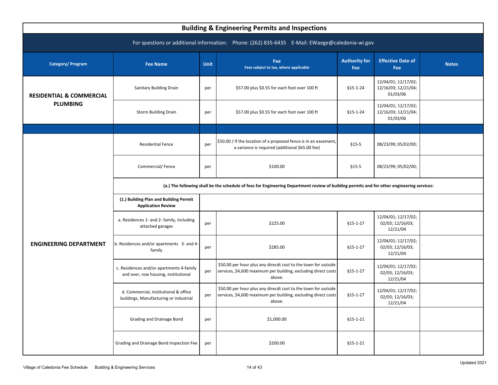<span id="page-15-0"></span>

| <b>Building &amp; Engineering Permits and Inspections</b>                                      |                                                                                                                                            |      |                                                                                                                                            |                             |                                                        |              |  |  |  |  |
|------------------------------------------------------------------------------------------------|--------------------------------------------------------------------------------------------------------------------------------------------|------|--------------------------------------------------------------------------------------------------------------------------------------------|-----------------------------|--------------------------------------------------------|--------------|--|--|--|--|
| For questions or additional information: Phone: (262) 835-6435 E-Mail: EWaege@caledonia-wi.gov |                                                                                                                                            |      |                                                                                                                                            |                             |                                                        |              |  |  |  |  |
| Category/Program                                                                               | <b>Fee Name</b>                                                                                                                            | Unit | <b>Fee</b><br>Fees subject to tax, where applicable                                                                                        | <b>Authority for</b><br>Fee | <b>Effective Date of</b><br>Fee                        | <b>Notes</b> |  |  |  |  |
| <b>RESIDENTIAL &amp; COMMERCIAL</b>                                                            | <b>Sanitary Building Drain</b>                                                                                                             | per  | \$57.00 plus \$0.55 for each foot over 100 ft                                                                                              | $$15-1-24$                  | 12/04/01; 12/17/02;<br>12/16/03; 12/21/04;<br>01/03/06 |              |  |  |  |  |
| <b>PLUMBING</b>                                                                                | <b>Storm Building Drain</b>                                                                                                                | per  | \$57.00 plus \$0.55 for each foot over 100 ft                                                                                              | $$15-1-24$                  | 12/04/01; 12/17/02;<br>12/16/03; 12/21/04;<br>01/03/06 |              |  |  |  |  |
|                                                                                                |                                                                                                                                            |      |                                                                                                                                            |                             |                                                        |              |  |  |  |  |
|                                                                                                | <b>Residential Fence</b>                                                                                                                   | per  | \$50.00 / If the location of a proposed fence is in an easement,<br>a variance is required (additional \$65.00 fee)                        | $$15-5$                     | 08/23/99; 05/02/00;                                    |              |  |  |  |  |
|                                                                                                | Commercial/Fence                                                                                                                           | per  | \$100.00                                                                                                                                   | $$15-5$                     | 08/23/99; 05/02/00;                                    |              |  |  |  |  |
|                                                                                                | (a.) The following shall be the schedule of fees for Engineering Department review of building permits and for other engineering services: |      |                                                                                                                                            |                             |                                                        |              |  |  |  |  |
|                                                                                                | (1.) Building Plan and Building Permit<br><b>Application Review</b>                                                                        |      |                                                                                                                                            |                             |                                                        |              |  |  |  |  |
|                                                                                                | a. Residences 1- and 2- family, including<br>attached garages                                                                              | per  | \$225.00                                                                                                                                   | $$15-1-27$                  | 12/04/01; 12/17/02;<br>02/03; 12/16/03;<br>12/21/04    |              |  |  |  |  |
| <b>ENGINEERING DEPARTMENT</b>                                                                  | b. Residences and/or apartments 3- and 4-<br>family                                                                                        | per  | \$285.00                                                                                                                                   | $$15-1-27$                  | 12/04/01; 12/17/02;<br>02/03; 12/16/03;<br>12/21/04    |              |  |  |  |  |
|                                                                                                | c. Residences and/or apartments 4-family<br>and over, row housing, institutional                                                           | per  | \$50.00 per hour plus any direcdt cost to the town for outside<br>services, \$4,600 maximum per building, excluding direct costs<br>above. | $$15-1-27$                  | 12/04/01; 12/17/02;<br>02/03; 12/16/03;<br>12/21/04    |              |  |  |  |  |
|                                                                                                | d. Commercial, institutional & office<br>buildings, Manufacturing or industrial                                                            | per  | \$50.00 per hour plus any direcdt cost to the town for outside<br>services, \$4,600 maximum per building, excluding direct costs<br>above. | $$15-1-27$                  | 12/04/01; 12/17/02;<br>02/03; 12/16/03;<br>12/21/04    |              |  |  |  |  |
|                                                                                                | Grading and Drainage Bond                                                                                                                  | per  | \$1,000.00                                                                                                                                 | $$15-1-21$                  |                                                        |              |  |  |  |  |
|                                                                                                | Grading and Drainage Bond Inspection Fee                                                                                                   | per  | \$200.00                                                                                                                                   | \$15-1-21                   |                                                        |              |  |  |  |  |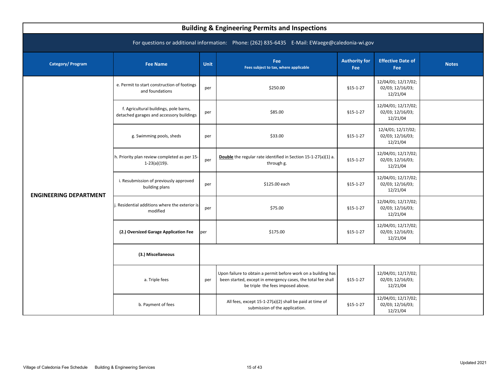| <b>Building &amp; Engineering Permits and Inspections</b>                                      |                                                                                    |             |                                                                                                                                                                    |                                    |                                                     |              |  |  |  |  |
|------------------------------------------------------------------------------------------------|------------------------------------------------------------------------------------|-------------|--------------------------------------------------------------------------------------------------------------------------------------------------------------------|------------------------------------|-----------------------------------------------------|--------------|--|--|--|--|
| For questions or additional information: Phone: (262) 835-6435 E-Mail: EWaege@caledonia-wi.gov |                                                                                    |             |                                                                                                                                                                    |                                    |                                                     |              |  |  |  |  |
| Category/ Program                                                                              | <b>Fee Name</b>                                                                    | <b>Unit</b> | Fee<br>Fees subject to tax, where applicable                                                                                                                       | <b>Authority for</b><br><b>Fee</b> | <b>Effective Date of</b><br>Fee                     | <b>Notes</b> |  |  |  |  |
|                                                                                                | e. Permit to start construction of footings<br>and foundations                     | per         | \$250.00                                                                                                                                                           | $§15 - 1 - 27$                     | 12/04/01; 12/17/02;<br>02/03; 12/16/03;<br>12/21/04 |              |  |  |  |  |
|                                                                                                | f. Agricultural buildings, pole barns,<br>detached garages and accessory buildings | per         | \$85.00                                                                                                                                                            | $§15 - 1 - 27$                     | 12/04/01; 12/17/02;<br>02/03; 12/16/03;<br>12/21/04 |              |  |  |  |  |
|                                                                                                | g. Swimming pools, sheds                                                           |             | \$33.00                                                                                                                                                            | $$15-1-27$                         | 12/4/01; 12/17/02;<br>02/03; 12/16/03;<br>12/21/04  |              |  |  |  |  |
|                                                                                                | h. Priority plan review completed as per 15-<br>$1-23(a)(19)$ i.                   | per         | Double the regular rate identified in Section 15-1-27(a)(1) a.<br>through g.                                                                                       | $$15-1-27$                         | 12/04/01; 12/17/02;<br>02/03; 12/16/03;<br>12/21/04 |              |  |  |  |  |
| <b>ENGINEERING DEPARTMENT</b>                                                                  | i. Resubmission of previously approved<br>building plans                           | per         | \$125.00 each                                                                                                                                                      | $$15-1-27$                         | 12/04/01; 12/17/02;<br>02/03; 12/16/03;<br>12/21/04 |              |  |  |  |  |
|                                                                                                | Residential additions where the exterior is<br>modified                            | per         | \$75.00                                                                                                                                                            | $$15-1-27$                         | 12/04/01; 12/17/02;<br>02/03; 12/16/03;<br>12/21/04 |              |  |  |  |  |
|                                                                                                | (2.) Oversized Garage Application Fee                                              | per         | \$175.00                                                                                                                                                           | $$15-1-27$                         | 12/04/01; 12/17/02;<br>02/03; 12/16/03;<br>12/21/04 |              |  |  |  |  |
|                                                                                                | (3.) Miscellaneous                                                                 |             |                                                                                                                                                                    |                                    |                                                     |              |  |  |  |  |
|                                                                                                | a. Triple fees                                                                     | per         | Upon failure to obtain a permit before work on a building has<br>been started, except in emergency cases, the total fee shall<br>be triple the fees imposed above. | $§15 - 1 - 27$                     | 12/04/01; 12/17/02;<br>02/03; 12/16/03;<br>12/21/04 |              |  |  |  |  |
|                                                                                                | b. Payment of fees                                                                 |             | All fees, except 15-1-27(a)(2) shall be paid at time of<br>submission of the application.                                                                          | $§15 - 1 - 27$                     | 12/04/01; 12/17/02;<br>02/03; 12/16/03;<br>12/21/04 |              |  |  |  |  |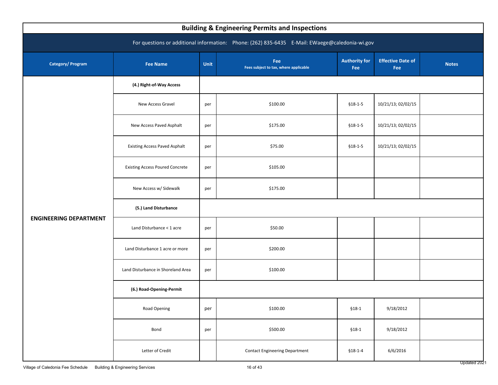| <b>Building &amp; Engineering Permits and Inspections</b>                                      |                                        |      |                                              |                             |                                 |              |  |  |  |
|------------------------------------------------------------------------------------------------|----------------------------------------|------|----------------------------------------------|-----------------------------|---------------------------------|--------------|--|--|--|
| For questions or additional information: Phone: (262) 835-6435 E-Mail: EWaege@caledonia-wi.gov |                                        |      |                                              |                             |                                 |              |  |  |  |
| <b>Category/Program</b>                                                                        | <b>Fee Name</b>                        | Unit | Fee<br>Fees subject to tax, where applicable | <b>Authority for</b><br>Fee | <b>Effective Date of</b><br>Fee | <b>Notes</b> |  |  |  |
|                                                                                                | (4.) Right-of-Way Access               |      |                                              |                             |                                 |              |  |  |  |
|                                                                                                | <b>New Access Gravel</b>               | per  | \$100.00                                     | $$18-1-5$                   | 10/21/13; 02/02/15              |              |  |  |  |
|                                                                                                | New Access Paved Asphalt               | per  | \$175.00                                     | $$18-1-5$                   | 10/21/13; 02/02/15              |              |  |  |  |
|                                                                                                | <b>Existing Access Paved Asphalt</b>   | per  | \$75.00                                      | $$18-1-5$                   | 10/21/13; 02/02/15              |              |  |  |  |
|                                                                                                | <b>Existing Access Poured Concrete</b> | per  | \$105.00                                     |                             |                                 |              |  |  |  |
|                                                                                                | New Access w/ Sidewalk                 | per  | \$175.00                                     |                             |                                 |              |  |  |  |
|                                                                                                | (5.) Land Disturbance                  |      |                                              |                             |                                 |              |  |  |  |
| <b>ENGINEERING DEPARTMENT</b>                                                                  | Land Disturbance < 1 acre              | per  | \$50.00                                      |                             |                                 |              |  |  |  |
|                                                                                                | Land Disturbance 1 acre or more        | per  | \$200.00                                     |                             |                                 |              |  |  |  |
|                                                                                                | Land Disturbance in Shoreland Area     | per  | \$100.00                                     |                             |                                 |              |  |  |  |
|                                                                                                | (6.) Road-Opening-Permit               |      |                                              |                             |                                 |              |  |  |  |
|                                                                                                | Road Opening                           | per  | \$100.00                                     | $$18-1$                     | 9/18/2012                       |              |  |  |  |
|                                                                                                | Bond                                   | per  | \$500.00                                     | $$18-1$                     | 9/18/2012                       |              |  |  |  |
|                                                                                                | Letter of Credit                       |      | <b>Contact Engineering Department</b>        | $$18-1-4$                   | 6/6/2016                        |              |  |  |  |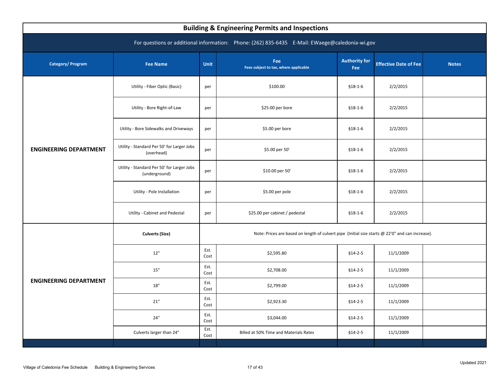<span id="page-18-0"></span>

| <b>Building &amp; Engineering Permits and Inspections</b> |                                                             |              |                                                                                                  |                             |                              |              |  |  |  |  |
|-----------------------------------------------------------|-------------------------------------------------------------|--------------|--------------------------------------------------------------------------------------------------|-----------------------------|------------------------------|--------------|--|--|--|--|
|                                                           |                                                             |              | For questions or additional information: Phone: (262) 835-6435 E-Mail: EWaege@caledonia-wi.gov   |                             |                              |              |  |  |  |  |
| Category/Program                                          | <b>Fee Name</b>                                             | Unit         | Fee<br>Fees subject to tax, where applicable                                                     | <b>Authority for</b><br>Fee | <b>Effective Date of Fee</b> | <b>Notes</b> |  |  |  |  |
|                                                           | Utility - Fiber Optic (Basic)                               | per          | \$100.00                                                                                         | $$18-1-6$                   | 2/2/2015                     |              |  |  |  |  |
|                                                           | Utility - Bore Right-of-Law                                 | per          | \$25.00 per bore                                                                                 | $$18-1-6$                   | 2/2/2015                     |              |  |  |  |  |
| <b>ENGINEERING DEPARTMENT</b>                             | Utility - Bore Sidewalks and Driveways                      | per          | \$5.00 per bore                                                                                  | $$18-1-6$                   | 2/2/2015                     |              |  |  |  |  |
|                                                           | Utility - Standard Per 50' for Larger Jobs<br>(overhead)    | per          | \$5.00 per 50'                                                                                   | $$18-1-6$                   | 2/2/2015                     |              |  |  |  |  |
|                                                           | Utility - Standard Per 50' for Larger Jobs<br>(underground) | per          | \$10.00 per 50'                                                                                  | $$18-1-6$                   | 2/2/2015                     |              |  |  |  |  |
|                                                           | Utility - Pole Installation                                 | per          | \$5.00 per pole                                                                                  | $$18-1-6$                   | 2/2/2015                     |              |  |  |  |  |
|                                                           | Utility - Cabinet and Pedestal                              | per          | \$25.00 per cabinet / pedestal                                                                   | $$18-1-6$                   | 2/2/2015                     |              |  |  |  |  |
|                                                           | <b>Culverts (Size)</b>                                      |              | Note: Prices are based on length of culvert pipe (Initial size starts @ 22'0" and can increase). |                             |                              |              |  |  |  |  |
|                                                           | 12"                                                         | Est.<br>Cost | \$2,595.80                                                                                       | $$14-2-5$                   | 11/1/2009                    |              |  |  |  |  |
|                                                           | $15"$                                                       | Est.<br>Cost | \$2,708.00                                                                                       | $$14-2-5$                   | 11/1/2009                    |              |  |  |  |  |
| <b>ENGINEERING DEPARTMENT</b>                             | $18"$                                                       | Est.<br>Cost | \$2,799.00                                                                                       | $$14-2-5$                   | 11/1/2009                    |              |  |  |  |  |
|                                                           | 21"                                                         | Est.<br>Cost | \$2,923.30                                                                                       | $$14-2-5$                   | 11/1/2009                    |              |  |  |  |  |
|                                                           | 24"                                                         | Est.<br>Cost | \$3,044.00                                                                                       | $$14-2-5$                   | 11/1/2009                    |              |  |  |  |  |
|                                                           | Culverts larger than 24"                                    | Est.<br>Cost | Billed at 50% Time and Materials Rates                                                           | $$14-2-5$                   | 11/1/2009                    |              |  |  |  |  |
|                                                           |                                                             |              |                                                                                                  |                             |                              |              |  |  |  |  |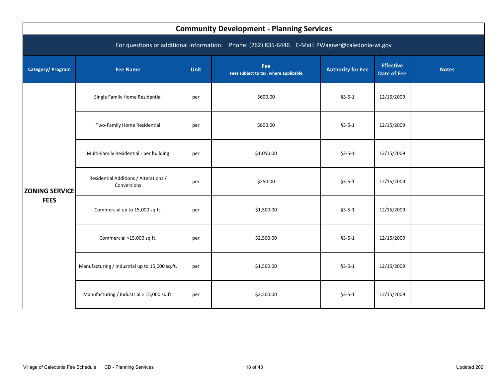<span id="page-19-0"></span>

| <b>Community Development - Planning Services</b>                                                |                                                      |             |                                              |                          |                                        |              |  |  |  |  |
|-------------------------------------------------------------------------------------------------|------------------------------------------------------|-------------|----------------------------------------------|--------------------------|----------------------------------------|--------------|--|--|--|--|
| For questions or additional information: Phone: (262) 835-6446 E-Mail: PWagner@caledonia-wi.gov |                                                      |             |                                              |                          |                                        |              |  |  |  |  |
| <b>Category/Program</b>                                                                         | <b>Fee Name</b>                                      | <b>Unit</b> | Fee<br>Fees subject to tax, where applicable | <b>Authority for Fee</b> | <b>Effective</b><br><b>Date of Fee</b> | <b>Notes</b> |  |  |  |  |
| <b>ZONING SERVICE</b>                                                                           | Single Family Home Residential                       | per         | \$600.00                                     | $§3 - 5 - 1$             | 12/15/2009                             |              |  |  |  |  |
|                                                                                                 | Two-Family Home Residential                          | per         | \$800.00                                     | $§3 - 5 - 1$             | 12/15/2009                             |              |  |  |  |  |
|                                                                                                 | Multi-Family Residential - per building              | per         | \$1,050.00                                   | $§3 - 5 - 1$             | 12/15/2009                             |              |  |  |  |  |
|                                                                                                 | Residential Additions / Alterations /<br>Conversions | per         | \$250.00                                     | $§3 - 5 - 1$             | 12/15/2009                             |              |  |  |  |  |
| <b>FEES</b>                                                                                     | Commercial up to 15,000 sq.ft.                       | per         | \$1,500.00                                   | $§3 - 5 - 1$             | 12/15/2009                             |              |  |  |  |  |
|                                                                                                 | Commercial >15,000 sq.ft.                            | per         | \$2,500.00                                   | $§3 - 5 - 1$             | 12/15/2009                             |              |  |  |  |  |
|                                                                                                 | Manufacturing / Industrial up to 15,000 sq.ft.       | per         | \$1,500.00                                   | $§3 - 5 - 1$             | 12/15/2009                             |              |  |  |  |  |
|                                                                                                 | Manufacturing / Industrial > 15,000 sq.ft.           | per         | \$2,500.00                                   | $§3 - 5 - 1$             | 12/15/2009                             |              |  |  |  |  |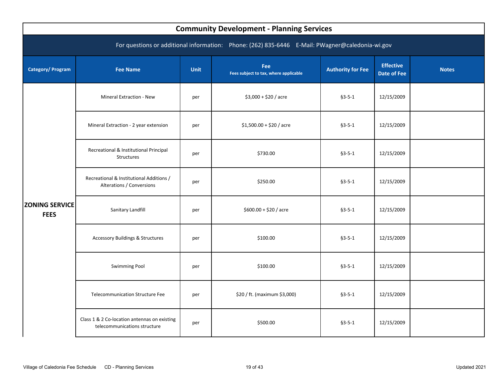| <b>Community Development - Planning Services</b>                                                |                                                                              |             |                                              |                          |                                        |              |  |  |  |  |
|-------------------------------------------------------------------------------------------------|------------------------------------------------------------------------------|-------------|----------------------------------------------|--------------------------|----------------------------------------|--------------|--|--|--|--|
| For questions or additional information: Phone: (262) 835-6446 E-Mail: PWagner@caledonia-wi.gov |                                                                              |             |                                              |                          |                                        |              |  |  |  |  |
| Category/ Program                                                                               | <b>Fee Name</b>                                                              | <b>Unit</b> | Fee<br>Fees subject to tax, where applicable | <b>Authority for Fee</b> | <b>Effective</b><br><b>Date of Fee</b> | <b>Notes</b> |  |  |  |  |
|                                                                                                 | Mineral Extraction - New                                                     | per         | $$3,000 + $20 /$ acre                        | $§3 - 5 - 1$             | 12/15/2009                             |              |  |  |  |  |
|                                                                                                 | Mineral Extraction - 2 year extension                                        | per         | $$1,500.00 + $20$ / acre                     | $§3 - 5 - 1$             | 12/15/2009                             |              |  |  |  |  |
|                                                                                                 | Recreational & Institutional Principal<br>Structures                         | per         | \$730.00                                     | $§3 - 5 - 1$             | 12/15/2009                             |              |  |  |  |  |
|                                                                                                 | Recreational & Institutional Additions /<br>Alterations / Conversions        | per         | \$250.00                                     | $§3 - 5 - 1$             | 12/15/2009                             |              |  |  |  |  |
| <b>ZONING SERVICE</b><br><b>FEES</b>                                                            | Sanitary Landfill                                                            | per         | $$600.00 + $20 /$ acre                       | $§3 - 5 - 1$             | 12/15/2009                             |              |  |  |  |  |
|                                                                                                 | <b>Accessory Buildings &amp; Structures</b>                                  | per         | \$100.00                                     | $§3 - 5 - 1$             | 12/15/2009                             |              |  |  |  |  |
|                                                                                                 | <b>Swimming Pool</b>                                                         | per         | \$100.00                                     | $§3 - 5 - 1$             | 12/15/2009                             |              |  |  |  |  |
|                                                                                                 | Telecommunication Structure Fee                                              | per         | \$20 / ft. (maximum \$3,000)                 | $§3 - 5 - 1$             | 12/15/2009                             |              |  |  |  |  |
|                                                                                                 | Class 1 & 2 Co-location antennas on existing<br>telecommunications structure | per         | \$500.00                                     | $§3 - 5 - 1$             | 12/15/2009                             |              |  |  |  |  |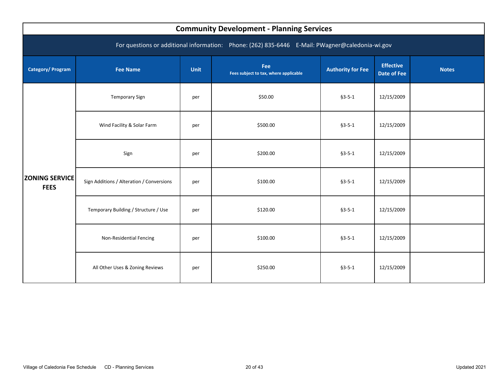<span id="page-21-0"></span>

| <b>Community Development - Planning Services</b>                                                |                                           |             |                                              |                          |                                        |              |  |  |  |
|-------------------------------------------------------------------------------------------------|-------------------------------------------|-------------|----------------------------------------------|--------------------------|----------------------------------------|--------------|--|--|--|
| For questions or additional information: Phone: (262) 835-6446 E-Mail: PWagner@caledonia-wi.gov |                                           |             |                                              |                          |                                        |              |  |  |  |
| <b>Category/Program</b>                                                                         | <b>Fee Name</b>                           | <b>Unit</b> | Fee<br>Fees subject to tax, where applicable | <b>Authority for Fee</b> | <b>Effective</b><br><b>Date of Fee</b> | <b>Notes</b> |  |  |  |
| <b>ZONING SERVICE</b><br><b>FEES</b>                                                            | <b>Temporary Sign</b>                     | per         | \$50.00                                      | $§3 - 5 - 1$             | 12/15/2009                             |              |  |  |  |
|                                                                                                 | Wind Facility & Solar Farm                | per         | \$500.00                                     | $§3 - 5 - 1$             | 12/15/2009                             |              |  |  |  |
|                                                                                                 | Sign                                      | per         | \$200.00                                     | $§3 - 5 - 1$             | 12/15/2009                             |              |  |  |  |
|                                                                                                 | Sign Additions / Alteration / Conversions | per         | \$100.00                                     | $§3 - 5 - 1$             | 12/15/2009                             |              |  |  |  |
|                                                                                                 | Temporary Building / Structure / Use      | per         | \$120.00                                     | $§3 - 5 - 1$             | 12/15/2009                             |              |  |  |  |
|                                                                                                 | Non-Residential Fencing                   | per         | \$100.00                                     | $§3 - 5 - 1$             | 12/15/2009                             |              |  |  |  |
|                                                                                                 | All Other Uses & Zoning Reviews           | per         | \$250.00                                     | $§3 - 5 - 1$             | 12/15/2009                             |              |  |  |  |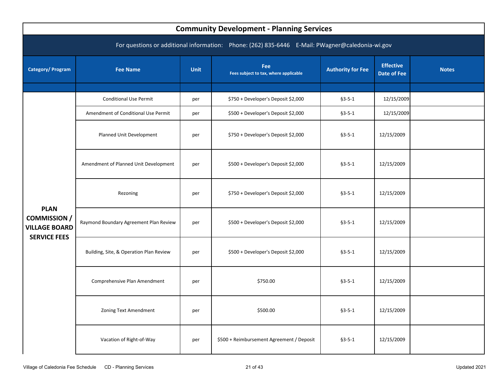<span id="page-22-0"></span>

| <b>Community Development - Planning Services</b>                                                |                                         |             |                                              |                          |                                        |              |  |  |  |  |
|-------------------------------------------------------------------------------------------------|-----------------------------------------|-------------|----------------------------------------------|--------------------------|----------------------------------------|--------------|--|--|--|--|
| For questions or additional information: Phone: (262) 835-6446 E-Mail: PWagner@caledonia-wi.gov |                                         |             |                                              |                          |                                        |              |  |  |  |  |
| <b>Category/Program</b>                                                                         | <b>Fee Name</b>                         | <b>Unit</b> | Fee<br>Fees subject to tax, where applicable | <b>Authority for Fee</b> | <b>Effective</b><br><b>Date of Fee</b> | <b>Notes</b> |  |  |  |  |
|                                                                                                 |                                         |             |                                              |                          |                                        |              |  |  |  |  |
|                                                                                                 | <b>Conditional Use Permit</b>           | per         | \$750 + Developer's Deposit \$2,000          | $§3 - 5 - 1$             | 12/15/2009                             |              |  |  |  |  |
|                                                                                                 | Amendment of Conditional Use Permit     | per         | \$500 + Developer's Deposit \$2,000          | $§3 - 5 - 1$             | 12/15/2009                             |              |  |  |  |  |
|                                                                                                 | Planned Unit Development                | per         | \$750 + Developer's Deposit \$2,000          | $§3 - 5 - 1$             | 12/15/2009                             |              |  |  |  |  |
|                                                                                                 | Amendment of Planned Unit Development   | per         | \$500 + Developer's Deposit \$2,000          | $§3 - 5 - 1$             | 12/15/2009                             |              |  |  |  |  |
|                                                                                                 | Rezoning                                | per         | \$750 + Developer's Deposit \$2,000          | $§3 - 5 - 1$             | 12/15/2009                             |              |  |  |  |  |
| <b>PLAN</b><br><b>COMMISSION /</b><br><b>VILLAGE BOARD</b><br><b>SERVICE FEES</b>               | Raymond Boundary Agreement Plan Review  | per         | \$500 + Developer's Deposit \$2,000          | $§3 - 5 - 1$             | 12/15/2009                             |              |  |  |  |  |
|                                                                                                 | Building, Site, & Operation Plan Review | per         | \$500 + Developer's Deposit \$2,000          | $§3 - 5 - 1$             | 12/15/2009                             |              |  |  |  |  |
|                                                                                                 | Comprehensive Plan Amendment            | per         | \$750.00                                     | $§3 - 5 - 1$             | 12/15/2009                             |              |  |  |  |  |
|                                                                                                 | Zoning Text Amendment                   | per         | \$500.00                                     | $§3 - 5 - 1$             | 12/15/2009                             |              |  |  |  |  |
|                                                                                                 | Vacation of Right-of-Way                | per         | \$500 + Reimbursement Agreement / Deposit    | $§3 - 5 - 1$             | 12/15/2009                             |              |  |  |  |  |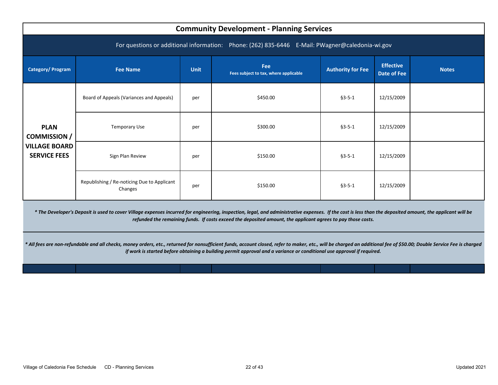<span id="page-23-0"></span>

|                                                                                   | <b>Community Development - Planning Services</b>                                                |             |                                              |                          |                                        |              |  |  |  |  |
|-----------------------------------------------------------------------------------|-------------------------------------------------------------------------------------------------|-------------|----------------------------------------------|--------------------------|----------------------------------------|--------------|--|--|--|--|
|                                                                                   | For questions or additional information: Phone: (262) 835-6446 E-Mail: PWagner@caledonia-wi.gov |             |                                              |                          |                                        |              |  |  |  |  |
| <b>Category/Program</b>                                                           | <b>Fee Name</b>                                                                                 | <b>Unit</b> | Fee<br>Fees subject to tax, where applicable | <b>Authority for Fee</b> | <b>Effective</b><br><b>Date of Fee</b> | <b>Notes</b> |  |  |  |  |
| <b>PLAN</b><br><b>COMMISSION</b> /<br><b>VILLAGE BOARD</b><br><b>SERVICE FEES</b> | Board of Appeals (Variances and Appeals)                                                        | per         | \$450.00                                     | $§3 - 5 - 1$             | 12/15/2009                             |              |  |  |  |  |
|                                                                                   | Temporary Use                                                                                   | per         | \$300.00                                     | $§3 - 5 - 1$             | 12/15/2009                             |              |  |  |  |  |
|                                                                                   | Sign Plan Review                                                                                | per         | \$150.00                                     | $63 - 5 - 1$             | 12/15/2009                             |              |  |  |  |  |
|                                                                                   | Republishing / Re-noticing Due to Applicant<br>Changes                                          | per         | \$150.00                                     | $§3 - 5 - 1$             | 12/15/2009                             |              |  |  |  |  |

*\* The Developer's Deposit is used to cover Village expenses incurred for engineering, inspection, legal, and administrative expenses. If the cost is less than the deposited amount, the applicant will be refunded the remaining funds. If costs exceed the deposited amount, the applicant agrees to pay those costs.* 

*\* All fees are non-refundable and all checks, money orders, etc., returned for nonsufficient funds, account closed, refer to maker, etc., will be charged an additional fee of \$50.00; Double Service Fee is charged if work is started before obtaining a building permit approval and a variance or conditional use approval if required.*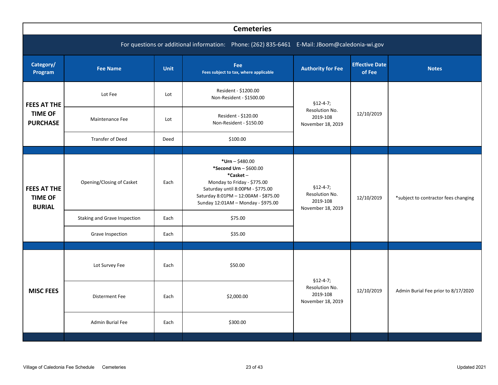<span id="page-24-0"></span>

|                                                         | <b>Cemeteries</b>                                                                             |             |                                                                                                                                                                                                          |                                                               |                                 |                                      |  |  |  |  |  |  |
|---------------------------------------------------------|-----------------------------------------------------------------------------------------------|-------------|----------------------------------------------------------------------------------------------------------------------------------------------------------------------------------------------------------|---------------------------------------------------------------|---------------------------------|--------------------------------------|--|--|--|--|--|--|
|                                                         | For questions or additional information: Phone: (262) 835-6461 E-Mail: JBoom@caledonia-wi.gov |             |                                                                                                                                                                                                          |                                                               |                                 |                                      |  |  |  |  |  |  |
| Category/<br>Program                                    | <b>Fee Name</b>                                                                               | <b>Unit</b> | Fee<br>Fees subject to tax, where applicable                                                                                                                                                             | <b>Authority for Fee</b>                                      | <b>Effective Date</b><br>of Fee | <b>Notes</b>                         |  |  |  |  |  |  |
| <b>FEES AT THE</b><br><b>TIME OF</b><br><b>PURCHASE</b> | Lot Fee                                                                                       | Lot         | Resident - \$1200.00<br>Non-Resident - \$1500.00                                                                                                                                                         | $$12-4-7;$                                                    |                                 |                                      |  |  |  |  |  |  |
|                                                         | Maintenance Fee                                                                               | Lot         | Resident - \$120.00<br>Non-Resident - \$150.00                                                                                                                                                           | Resolution No.<br>2019-108<br>November 18, 2019               | 12/10/2019                      |                                      |  |  |  |  |  |  |
|                                                         | <b>Transfer of Deed</b>                                                                       | Deed        | \$100.00                                                                                                                                                                                                 |                                                               |                                 |                                      |  |  |  |  |  |  |
|                                                         |                                                                                               |             |                                                                                                                                                                                                          |                                                               |                                 |                                      |  |  |  |  |  |  |
| <b>FEES AT THE</b><br><b>TIME OF</b><br><b>BURIAL</b>   | Opening/Closing of Casket                                                                     | Each        | *Urn $-$ \$480.00<br>*Second Urn - \$600.00<br>*Casket-<br>Monday to Friday - \$775.00<br>Saturday until 8:00PM - \$775.00<br>Saturday 8:01PM - 12:00AM - \$875.00<br>Sunday 12:01AM - Monday - \$975.00 | $$12-4-7;$<br>Resolution No.<br>2019-108<br>November 18, 2019 | 12/10/2019                      | *subject to contractor fees changing |  |  |  |  |  |  |
|                                                         | Staking and Grave Inspection                                                                  | Each        | \$75.00                                                                                                                                                                                                  |                                                               |                                 |                                      |  |  |  |  |  |  |
|                                                         | Grave Inspection                                                                              | Each        | \$35.00                                                                                                                                                                                                  |                                                               |                                 |                                      |  |  |  |  |  |  |
|                                                         |                                                                                               |             |                                                                                                                                                                                                          |                                                               |                                 |                                      |  |  |  |  |  |  |
|                                                         | Lot Survey Fee                                                                                | Each        | \$50.00                                                                                                                                                                                                  | $$12-4-7;$                                                    |                                 |                                      |  |  |  |  |  |  |
| <b>MISC FEES</b>                                        | <b>Disterment Fee</b>                                                                         | Each        | \$2,000.00                                                                                                                                                                                               | Resolution No.<br>2019-108<br>November 18, 2019               | 12/10/2019                      | Admin Burial Fee prior to 8/17/2020  |  |  |  |  |  |  |
|                                                         | Admin Burial Fee                                                                              | Each        | \$300.00                                                                                                                                                                                                 |                                                               |                                 |                                      |  |  |  |  |  |  |
|                                                         |                                                                                               |             |                                                                                                                                                                                                          |                                                               |                                 |                                      |  |  |  |  |  |  |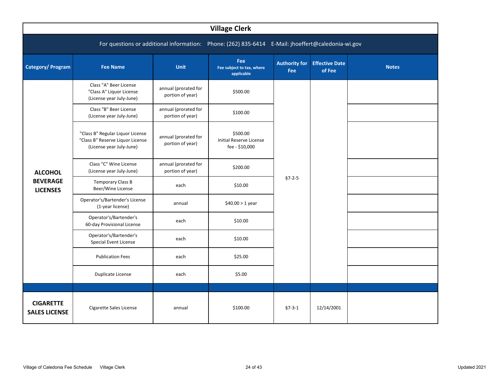<span id="page-25-0"></span>

| <b>Village Clerk</b>                                                                              |                                                                                                  |                                          |                                                              |                                    |                                 |              |  |  |  |  |
|---------------------------------------------------------------------------------------------------|--------------------------------------------------------------------------------------------------|------------------------------------------|--------------------------------------------------------------|------------------------------------|---------------------------------|--------------|--|--|--|--|
| For questions or additional information: Phone: (262) 835-6414 E-Mail: jhoeffert@caledonia-wi.gov |                                                                                                  |                                          |                                                              |                                    |                                 |              |  |  |  |  |
| Category/ Program                                                                                 | <b>Fee Name</b>                                                                                  | <b>Unit</b>                              | <b>Fee</b><br>Fee subject to tax, where<br>applicable        | <b>Authority for</b><br><b>Fee</b> | <b>Effective Date</b><br>of Fee | <b>Notes</b> |  |  |  |  |
|                                                                                                   | Class "A" Beer License<br>"Class A" Liquor License<br>(License year July-June)                   | annual (prorated for<br>portion of year) | \$500.00                                                     |                                    |                                 |              |  |  |  |  |
|                                                                                                   | Class "B" Beer License<br>(License year July-June)                                               | annual (prorated for<br>portion of year) | \$100.00                                                     |                                    |                                 |              |  |  |  |  |
| <b>ALCOHOL</b>                                                                                    | "Class B" Regular Liquor License<br>"Class B" Reserve Liquor License<br>(License year July-June) | annual (prorated for<br>portion of year) | \$500.00<br><b>Initial Reserve License</b><br>fee - \$10,000 |                                    |                                 |              |  |  |  |  |
|                                                                                                   | Class "C" Wine License<br>(License year July-June)                                               | annual (prorated for<br>portion of year) | \$200.00                                                     |                                    |                                 |              |  |  |  |  |
| <b>BEVERAGE</b><br><b>LICENSES</b>                                                                | <b>Temporary Class B</b><br>Beer/Wine License                                                    | each                                     | \$10.00                                                      | $§7 - 2 - 5$                       |                                 |              |  |  |  |  |
|                                                                                                   | Operator's/Bartender's License<br>(1-year license)                                               | annual                                   | $$40.00 > 1$ year                                            |                                    |                                 |              |  |  |  |  |
|                                                                                                   | Operator's/Bartender's<br>60-day Provisional License                                             | each                                     | \$10.00                                                      |                                    |                                 |              |  |  |  |  |
|                                                                                                   | Operator's/Bartender's<br>Special Event License                                                  | each                                     | \$10.00                                                      |                                    |                                 |              |  |  |  |  |
|                                                                                                   | <b>Publication Fees</b>                                                                          | each                                     | \$25.00                                                      |                                    |                                 |              |  |  |  |  |
|                                                                                                   | <b>Duplicate License</b>                                                                         | each                                     | \$5.00                                                       |                                    |                                 |              |  |  |  |  |
|                                                                                                   |                                                                                                  |                                          |                                                              |                                    |                                 |              |  |  |  |  |
| <b>CIGARETTE</b><br><b>SALES LICENSE</b>                                                          | Cigarette Sales License                                                                          | annual                                   | \$100.00                                                     | $§7 - 3 - 1$                       | 12/14/2001                      |              |  |  |  |  |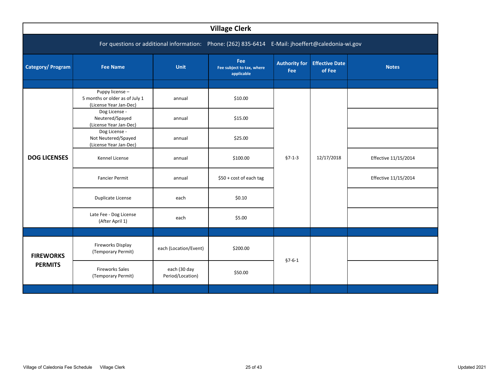<span id="page-26-0"></span>

| <b>Village Clerk</b> |                                                                                                   |                                  |                                                |                             |                                 |                      |  |  |  |  |  |
|----------------------|---------------------------------------------------------------------------------------------------|----------------------------------|------------------------------------------------|-----------------------------|---------------------------------|----------------------|--|--|--|--|--|
|                      | For questions or additional information: Phone: (262) 835-6414 E-Mail: jhoeffert@caledonia-wi.gov |                                  |                                                |                             |                                 |                      |  |  |  |  |  |
| Category/ Program    | <b>Fee Name</b>                                                                                   | Unit                             | Fee<br>Fee subject to tax, where<br>applicable | <b>Authority for</b><br>Fee | <b>Effective Date</b><br>of Fee | <b>Notes</b>         |  |  |  |  |  |
|                      |                                                                                                   |                                  |                                                |                             |                                 |                      |  |  |  |  |  |
|                      | Puppy license-<br>5 months or older as of July 1<br>(License Year Jan-Dec)                        | annual                           | \$10.00                                        |                             |                                 |                      |  |  |  |  |  |
| <b>DOG LICENSES</b>  | Dog License -<br>Neutered/Spayed<br>(License Year Jan-Dec)                                        | annual                           | \$15.00                                        |                             |                                 |                      |  |  |  |  |  |
|                      | Dog License -<br>Not Neutered/Spayed<br>(License Year Jan-Dec)                                    | annual                           | \$25.00                                        |                             |                                 |                      |  |  |  |  |  |
|                      | Kennel License                                                                                    | annual                           | \$100.00                                       | $§7 - 1 - 3$                | 12/17/2018                      | Effective 11/15/2014 |  |  |  |  |  |
|                      | <b>Fancier Permit</b>                                                                             | annual                           | \$50 + cost of each tag                        |                             |                                 | Effective 11/15/2014 |  |  |  |  |  |
|                      | Duplicate License                                                                                 | each                             | \$0.10                                         |                             |                                 |                      |  |  |  |  |  |
|                      | Late Fee - Dog License<br>(After April 1)                                                         | each                             | \$5.00                                         |                             |                                 |                      |  |  |  |  |  |
|                      |                                                                                                   |                                  |                                                |                             |                                 |                      |  |  |  |  |  |
| <b>FIREWORKS</b>     | Fireworks Display<br>(Temporary Permit)                                                           | each (Location/Event)            | \$200.00                                       | $§7 - 6 - 1$                |                                 |                      |  |  |  |  |  |
| <b>PERMITS</b>       | <b>Fireworks Sales</b><br>(Temporary Permit)                                                      | each (30 day<br>Period/Location) | \$50.00                                        |                             |                                 |                      |  |  |  |  |  |
|                      |                                                                                                   |                                  |                                                |                             |                                 |                      |  |  |  |  |  |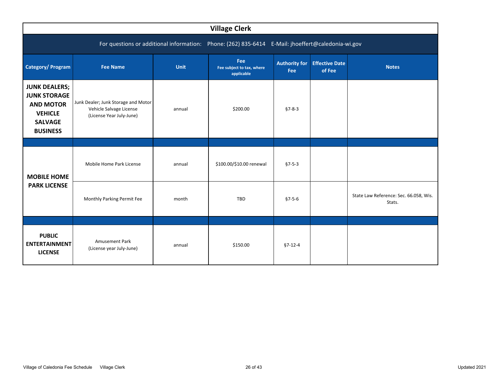<span id="page-27-0"></span>

|                                                                                                                        | <b>Village Clerk</b>                                                                       |        |                          |                                    |                                 |                                                  |  |  |  |  |
|------------------------------------------------------------------------------------------------------------------------|--------------------------------------------------------------------------------------------|--------|--------------------------|------------------------------------|---------------------------------|--------------------------------------------------|--|--|--|--|
| For questions or additional information: Phone: (262) 835-6414<br>E-Mail: jhoeffert@caledonia-wi.gov                   |                                                                                            |        |                          |                                    |                                 |                                                  |  |  |  |  |
| Category/ Program                                                                                                      | Fee<br><b>Fee Name</b><br><b>Unit</b><br>Fee subject to tax, where<br>applicable           |        |                          | <b>Authority for</b><br><b>Fee</b> | <b>Effective Date</b><br>of Fee | <b>Notes</b>                                     |  |  |  |  |
| <b>JUNK DEALERS;</b><br><b>JUNK STORAGE</b><br><b>AND MOTOR</b><br><b>VEHICLE</b><br><b>SALVAGE</b><br><b>BUSINESS</b> | Junk Dealer; Junk Storage and Motor<br>Vehicle Salvage License<br>(License Year July-June) | annual | \$200.00                 | $§7 - 8 - 3$                       |                                 |                                                  |  |  |  |  |
|                                                                                                                        |                                                                                            |        |                          |                                    |                                 |                                                  |  |  |  |  |
| <b>MOBILE HOME</b><br><b>PARK LICENSE</b>                                                                              | Mobile Home Park License                                                                   | annual | \$100.00/\$10.00 renewal | $§7 - 5 - 3$                       |                                 |                                                  |  |  |  |  |
|                                                                                                                        | Monthly Parking Permit Fee                                                                 | month  | TBD                      | $§7 - 5 - 6$                       |                                 | State Law Reference: Sec. 66.058, Wis.<br>Stats. |  |  |  |  |
|                                                                                                                        |                                                                                            |        |                          |                                    |                                 |                                                  |  |  |  |  |
| <b>PUBLIC</b><br><b>ENTERTAINMENT</b><br><b>LICENSE</b>                                                                | Amusement Park<br>(License year July-June)                                                 | annual | \$150.00                 | $§7 - 12 - 4$                      |                                 |                                                  |  |  |  |  |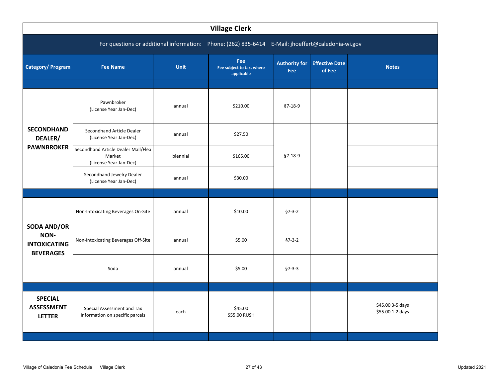<span id="page-28-0"></span>

| <b>Village Clerk</b>                                                                              |                                                                         |             |                                                       |                             |                                 |                                      |  |  |  |  |
|---------------------------------------------------------------------------------------------------|-------------------------------------------------------------------------|-------------|-------------------------------------------------------|-----------------------------|---------------------------------|--------------------------------------|--|--|--|--|
| For questions or additional information: Phone: (262) 835-6414 E-Mail: jhoeffert@caledonia-wi.gov |                                                                         |             |                                                       |                             |                                 |                                      |  |  |  |  |
| Category/ Program                                                                                 | <b>Fee Name</b>                                                         | <b>Unit</b> | <b>Fee</b><br>Fee subject to tax, where<br>applicable | <b>Authority for</b><br>Fee | <b>Effective Date</b><br>of Fee | <b>Notes</b>                         |  |  |  |  |
|                                                                                                   | Pawnbroker<br>(License Year Jan-Dec)                                    | annual      | \$210.00                                              | $§7-18-9$                   |                                 |                                      |  |  |  |  |
| <b>SECONDHAND</b><br>DEALER/                                                                      | Secondhand Article Dealer<br>(License Year Jan-Dec)                     | annual      | \$27.50                                               |                             |                                 |                                      |  |  |  |  |
| <b>PAWNBROKER</b>                                                                                 | Secondhand Article Dealer Mall/Flea<br>Market<br>(License Year Jan-Dec) | biennial    | \$165.00                                              | $§7 - 18 - 9$               |                                 |                                      |  |  |  |  |
|                                                                                                   | Secondhand Jewelry Dealer<br>(License Year Jan-Dec)                     | annual      | \$30.00                                               |                             |                                 |                                      |  |  |  |  |
|                                                                                                   |                                                                         |             |                                                       |                             |                                 |                                      |  |  |  |  |
|                                                                                                   | Non-Intoxicating Beverages On-Site                                      | annual      | \$10.00                                               | $§7 - 3 - 2$                |                                 |                                      |  |  |  |  |
| <b>SODA AND/OR</b><br>NON-<br><b>INTOXICATING</b><br><b>BEVERAGES</b>                             | Non-Intoxicating Beverages Off-Site                                     | annual      | \$5.00                                                | $§7 - 3 - 2$                |                                 |                                      |  |  |  |  |
|                                                                                                   | Soda                                                                    | annual      | \$5.00                                                | $§7 - 3 - 3$                |                                 |                                      |  |  |  |  |
|                                                                                                   |                                                                         |             |                                                       |                             |                                 |                                      |  |  |  |  |
| <b>SPECIAL</b><br><b>ASSESSMENT</b><br><b>LETTER</b>                                              | Special Assessment and Tax<br>Information on specific parcels           | each        | \$45.00<br>\$55.00 RUSH                               |                             |                                 | \$45.00 3-5 days<br>\$55.00 1-2 days |  |  |  |  |
|                                                                                                   |                                                                         |             |                                                       |                             |                                 |                                      |  |  |  |  |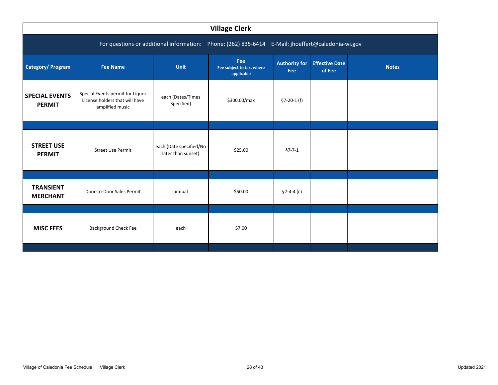<span id="page-29-0"></span>

| <b>Village Clerk</b>                                                                              |                                                                                       |                                               |                                                       |                             |                                 |              |  |  |  |  |
|---------------------------------------------------------------------------------------------------|---------------------------------------------------------------------------------------|-----------------------------------------------|-------------------------------------------------------|-----------------------------|---------------------------------|--------------|--|--|--|--|
| For questions or additional information: Phone: (262) 835-6414 E-Mail: jhoeffert@caledonia-wi.gov |                                                                                       |                                               |                                                       |                             |                                 |              |  |  |  |  |
| <b>Category/Program</b>                                                                           | <b>Fee Name</b>                                                                       | <b>Unit</b>                                   | <b>Fee</b><br>Fee subject to tax, where<br>applicable | <b>Authority for</b><br>Fee | <b>Effective Date</b><br>of Fee | <b>Notes</b> |  |  |  |  |
| <b>SPECIAL EVENTS</b><br><b>PERMIT</b>                                                            | Special Events permit for Liquor<br>License holders that will have<br>amplified music | each (Dates/Times<br>Specified)               | \$300.00/max                                          | $$7-20-1(f)$                |                                 |              |  |  |  |  |
|                                                                                                   |                                                                                       |                                               |                                                       |                             |                                 |              |  |  |  |  |
| <b>STREET USE</b><br><b>PERMIT</b>                                                                | <b>Street Use Permit</b>                                                              | each (Date specified/No<br>later than sunset) | \$25.00                                               | $§7 - 7 - 1$                |                                 |              |  |  |  |  |
|                                                                                                   |                                                                                       |                                               |                                                       |                             |                                 |              |  |  |  |  |
| <b>TRANSIENT</b><br><b>MERCHANT</b>                                                               | Door-to-Door Sales Permit                                                             |                                               | \$50.00                                               | $$7-4-4$ (c)                |                                 |              |  |  |  |  |
|                                                                                                   |                                                                                       |                                               |                                                       |                             |                                 |              |  |  |  |  |
| <b>MISC FEES</b>                                                                                  | <b>Background Check Fee</b>                                                           | each                                          | \$7.00                                                |                             |                                 |              |  |  |  |  |
|                                                                                                   |                                                                                       |                                               |                                                       |                             |                                 |              |  |  |  |  |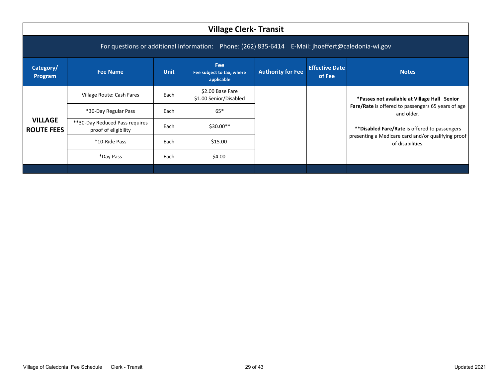<span id="page-30-0"></span>

|                                                                                                   | <b>Village Clerk-Transit</b>                           |             |                                                |                          |                                 |                                                                        |  |  |  |
|---------------------------------------------------------------------------------------------------|--------------------------------------------------------|-------------|------------------------------------------------|--------------------------|---------------------------------|------------------------------------------------------------------------|--|--|--|
| For questions or additional information: Phone: (262) 835-6414 E-Mail: jhoeffert@caledonia-wi.gov |                                                        |             |                                                |                          |                                 |                                                                        |  |  |  |
| Category/<br>Program                                                                              | <b>Fee Name</b>                                        | <b>Unit</b> | Fee<br>Fee subject to tax, where<br>applicable | <b>Authority for Fee</b> | <b>Effective Date</b><br>of Fee | <b>Notes</b>                                                           |  |  |  |
|                                                                                                   | Village Route: Cash Fares                              | Each        | \$2.00 Base Fare<br>\$1.00 Senior/Disabled     |                          |                                 | *Passes not available at Village Hall Senior                           |  |  |  |
|                                                                                                   | *30-Day Regular Pass                                   | Each        | $65*$                                          |                          |                                 | Fare/Rate is offered to passengers 65 years of age<br>and older.       |  |  |  |
| <b>VILLAGE</b><br><b>ROUTE FEES</b>                                                               | **30-Day Reduced Pass requires<br>proof of eligibility | Each        | $$30.00**$                                     |                          |                                 | **Disabled Fare/Rate is offered to passengers                          |  |  |  |
|                                                                                                   | *10-Ride Pass                                          | Each        | \$15.00                                        |                          |                                 | presenting a Medicare card and/or qualifying proof<br>of disabilities. |  |  |  |
|                                                                                                   | *Day Pass                                              | Each        | \$4.00                                         |                          |                                 |                                                                        |  |  |  |
|                                                                                                   |                                                        |             |                                                |                          |                                 |                                                                        |  |  |  |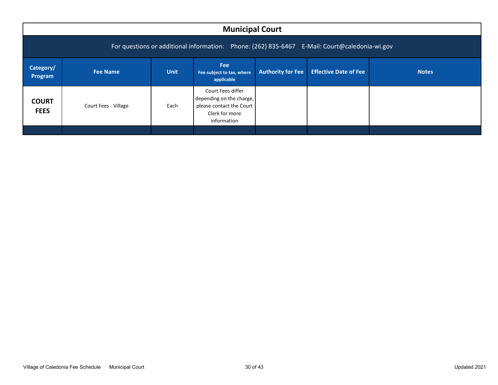<span id="page-31-0"></span>

|                                                                                               | <b>Municipal Court</b> |             |                                                                                                            |                          |                              |              |  |  |  |  |
|-----------------------------------------------------------------------------------------------|------------------------|-------------|------------------------------------------------------------------------------------------------------------|--------------------------|------------------------------|--------------|--|--|--|--|
| For questions or additional information: Phone: (262) 835-6467 E-Mail: Court@caledonia-wi.gov |                        |             |                                                                                                            |                          |                              |              |  |  |  |  |
| Category/<br>Program                                                                          | Fee Name               | <b>Unit</b> | <b>Fee</b><br>Fee subject to tax, where<br>applicable                                                      | <b>Authority for Fee</b> | <b>Effective Date of Fee</b> | <b>Notes</b> |  |  |  |  |
| <b>COURT</b><br><b>FEES</b>                                                                   | Court Fees - Village   | Each        | Court Fees differ<br>depending on the charge,<br>please contact the Court<br>Clerk for more<br>information |                          |                              |              |  |  |  |  |
|                                                                                               |                        |             |                                                                                                            |                          |                              |              |  |  |  |  |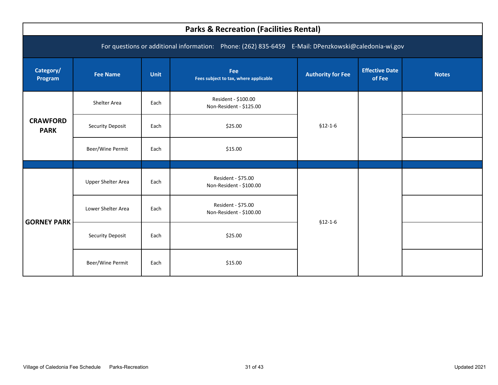<span id="page-32-0"></span>

|                                                                                                     | <b>Parks &amp; Recreation (Facilities Rental)</b> |             |                                                |                          |                                 |              |  |  |  |  |
|-----------------------------------------------------------------------------------------------------|---------------------------------------------------|-------------|------------------------------------------------|--------------------------|---------------------------------|--------------|--|--|--|--|
| For questions or additional information: Phone: (262) 835-6459 E-Mail: DPenzkowski@caledonia-wi.gov |                                                   |             |                                                |                          |                                 |              |  |  |  |  |
| Category/<br>Program                                                                                | <b>Fee Name</b>                                   | <b>Unit</b> | Fee<br>Fees subject to tax, where applicable   | <b>Authority for Fee</b> | <b>Effective Date</b><br>of Fee | <b>Notes</b> |  |  |  |  |
|                                                                                                     | Shelter Area                                      | Each        | Resident - \$100.00<br>Non-Resident - \$125.00 |                          |                                 |              |  |  |  |  |
| <b>CRAWFORD</b><br><b>PARK</b>                                                                      | <b>Security Deposit</b>                           | Each        | \$25.00                                        | $$12-1-6$                |                                 |              |  |  |  |  |
|                                                                                                     | Beer/Wine Permit                                  | Each        | \$15.00                                        |                          |                                 |              |  |  |  |  |
|                                                                                                     | <b>Upper Shelter Area</b>                         | Each        | Resident - \$75.00<br>Non-Resident - \$100.00  |                          |                                 |              |  |  |  |  |
|                                                                                                     |                                                   |             |                                                |                          |                                 |              |  |  |  |  |
|                                                                                                     | Lower Shelter Area                                | Each        | Resident - \$75.00<br>Non-Resident - \$100.00  |                          |                                 |              |  |  |  |  |
| <b>GORNEY PARK</b>                                                                                  | <b>Security Deposit</b>                           | Each        | \$25.00                                        | $$12-1-6$                |                                 |              |  |  |  |  |
|                                                                                                     | Beer/Wine Permit                                  | Each        | \$15.00                                        |                          |                                 |              |  |  |  |  |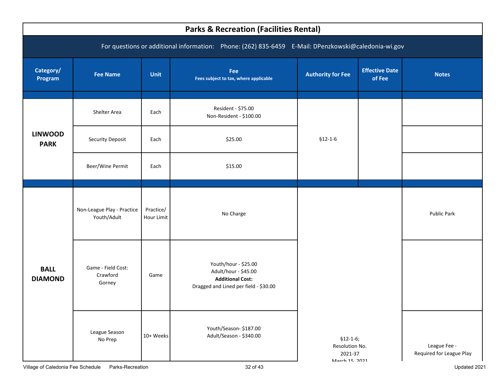<span id="page-33-0"></span>

| <b>Parks &amp; Recreation (Facilities Rental)</b> |                                                                                                     |                         |                                                                                                                  |                                                          |                                 |                                          |  |  |  |  |
|---------------------------------------------------|-----------------------------------------------------------------------------------------------------|-------------------------|------------------------------------------------------------------------------------------------------------------|----------------------------------------------------------|---------------------------------|------------------------------------------|--|--|--|--|
|                                                   | For questions or additional information: Phone: (262) 835-6459 E-Mail: DPenzkowski@caledonia-wi.gov |                         |                                                                                                                  |                                                          |                                 |                                          |  |  |  |  |
| Category/<br>Program                              | <b>Fee Name</b>                                                                                     | <b>Unit</b>             | Fee<br>Fees subject to tax, where applicable                                                                     | <b>Authority for Fee</b>                                 | <b>Effective Date</b><br>of Fee | <b>Notes</b>                             |  |  |  |  |
|                                                   | Shelter Area                                                                                        | Each                    | Resident - \$75.00<br>Non-Resident - \$100.00                                                                    |                                                          |                                 |                                          |  |  |  |  |
| <b>LINWOOD</b><br><b>PARK</b>                     | <b>Security Deposit</b>                                                                             | Each                    | \$25.00                                                                                                          | $$12-1-6$                                                |                                 |                                          |  |  |  |  |
|                                                   | Beer/Wine Permit                                                                                    | Each                    | \$15.00                                                                                                          |                                                          |                                 |                                          |  |  |  |  |
|                                                   | Non-League Play - Practice<br>Youth/Adult                                                           | Practice/<br>Hour Limit | No Charge                                                                                                        |                                                          |                                 | Public Park                              |  |  |  |  |
| <b>BALL</b><br><b>DIAMOND</b>                     | Game - Field Cost:<br>Crawford<br>Gorney                                                            | Game                    | Youth/hour - \$25.00<br>Adult/hour - \$45.00<br><b>Additional Cost:</b><br>Dragged and Lined per field - \$30.00 |                                                          |                                 |                                          |  |  |  |  |
|                                                   | League Season<br>No Prep                                                                            | 10+ Weeks               | Youth/Season-\$187.00<br>Adult/Season - \$340.00                                                                 | $$12-1-6;$<br>Resolution No.<br>2021-37<br>March 15 2021 |                                 | League Fee -<br>Required for League Play |  |  |  |  |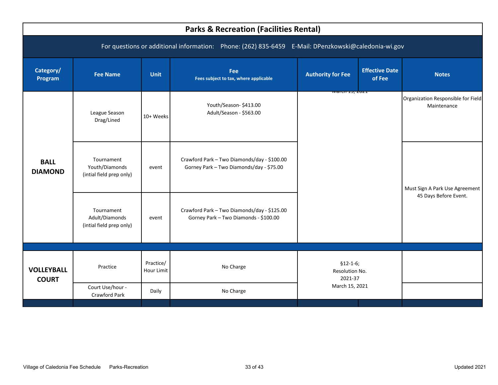<span id="page-34-0"></span>

|                                                                                                     | <b>Parks &amp; Recreation (Facilities Rental)</b>        |                         |                                                                                         |                                         |                                 |                                                   |  |  |  |
|-----------------------------------------------------------------------------------------------------|----------------------------------------------------------|-------------------------|-----------------------------------------------------------------------------------------|-----------------------------------------|---------------------------------|---------------------------------------------------|--|--|--|
| For questions or additional information: Phone: (262) 835-6459 E-Mail: DPenzkowski@caledonia-wi.gov |                                                          |                         |                                                                                         |                                         |                                 |                                                   |  |  |  |
| Category/<br>Program                                                                                | <b>Fee Name</b>                                          | <b>Unit</b>             | Fee<br>Fees subject to tax, where applicable                                            | <b>Authority for Fee</b>                | <b>Effective Date</b><br>of Fee | <b>Notes</b>                                      |  |  |  |
|                                                                                                     | League Season<br>Drag/Lined                              | 10+ Weeks               | Youth/Season-\$413.00<br>Adult/Season - \$563.00                                        | warth 13, 2021                          |                                 | Organization Responsible for Field<br>Maintenance |  |  |  |
| <b>BALL</b><br><b>DIAMOND</b>                                                                       | Tournament<br>Youth/Diamonds<br>(intial field prep only) | event                   | Crawford Park - Two Diamonds/day - \$100.00<br>Gorney Park - Two Diamonds/day - \$75.00 |                                         |                                 | Must Sign A Park Use Agreement                    |  |  |  |
|                                                                                                     | Tournament<br>Adult/Diamonds<br>(intial field prep only) | event                   | Crawford Park - Two Diamonds/day - \$125.00<br>Gorney Park - Two Diamonds - \$100.00    |                                         |                                 | 45 Days Before Event.                             |  |  |  |
| <b>VOLLEYBALL</b><br><b>COURT</b>                                                                   | Practice                                                 | Practice/<br>Hour Limit | No Charge                                                                               | $$12-1-6;$<br>Resolution No.<br>2021-37 |                                 |                                                   |  |  |  |
|                                                                                                     | Court Use/hour -<br>Crawford Park                        | Daily                   | No Charge                                                                               | March 15, 2021                          |                                 |                                                   |  |  |  |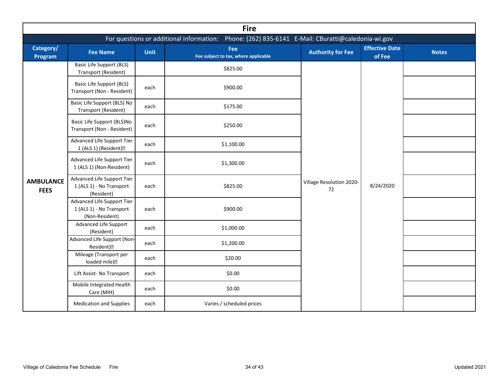<span id="page-35-0"></span>

|                                 | <b>Fire</b>                                                              |             |                                                                                                  |                                |                                 |              |  |  |  |  |  |  |
|---------------------------------|--------------------------------------------------------------------------|-------------|--------------------------------------------------------------------------------------------------|--------------------------------|---------------------------------|--------------|--|--|--|--|--|--|
|                                 |                                                                          |             | For questions or additional information: Phone: (262) 835-6141 E-Mail: CBuratti@caledonia-wi.gov |                                |                                 |              |  |  |  |  |  |  |
| Category/<br>Program            | <b>Fee Name</b>                                                          | <b>Unit</b> | Fee<br>Fee subject to tax, where applicable                                                      | <b>Authority for Fee</b>       | <b>Effective Date</b><br>of Fee | <b>Notes</b> |  |  |  |  |  |  |
|                                 | <b>Basic Life Support (BLS)</b><br>Transport (Resident)                  |             | \$825.00                                                                                         |                                |                                 |              |  |  |  |  |  |  |
|                                 | <b>Basic Life Support (BLS)</b><br>Transport (Non - Resident)            | each        | \$900.00                                                                                         |                                |                                 |              |  |  |  |  |  |  |
|                                 | Basic Life Support (BLS) No<br>Transport (Resident)                      | each        | \$175.00                                                                                         |                                |                                 |              |  |  |  |  |  |  |
|                                 | Basic Life Support (BLS)No<br>Transport (Non - Resident)                 | each        | \$250.00                                                                                         |                                |                                 |              |  |  |  |  |  |  |
|                                 | Advanced Life Support Tier<br>1 (ALS 1) (Resident) <sup>[2]</sup>        | each        | \$1,100.00                                                                                       |                                |                                 |              |  |  |  |  |  |  |
|                                 | Advanced Life Support Tier<br>1 (ALS 1) (Non-Resident)                   | each        | \$1,300.00                                                                                       |                                |                                 |              |  |  |  |  |  |  |
| <b>AMBULANCE</b><br><b>FEES</b> | Advanced Life Support Tier<br>1 (ALS 1) - No Transport<br>(Resident)     | each        | \$825.00                                                                                         | Village Resolution 2020-<br>72 | 8/24/2020                       |              |  |  |  |  |  |  |
|                                 | Advanced Life Support Tier<br>1 (ALS 1) - No Transport<br>(Non-Resident) | each        | \$900.00                                                                                         |                                |                                 |              |  |  |  |  |  |  |
|                                 | Advanced Life Support<br>(Resident)                                      | each        | \$1,000.00                                                                                       |                                |                                 |              |  |  |  |  |  |  |
|                                 | Advanced Life Support (Non-<br>Resident) <sup>[2]</sup>                  | each        | \$1,200.00                                                                                       |                                |                                 |              |  |  |  |  |  |  |
|                                 | Mileage (Transport per<br>loaded mile) <sup>[2]</sup>                    | each        | \$20.00                                                                                          |                                |                                 |              |  |  |  |  |  |  |
|                                 | Lift Assist- No Transport                                                | each        | \$0.00                                                                                           |                                |                                 |              |  |  |  |  |  |  |
|                                 | Mobile Integrated Health<br>Care (MIH)                                   | each        | \$0.00                                                                                           |                                |                                 |              |  |  |  |  |  |  |
|                                 | <b>Medication and Supplies</b>                                           | each        | Varies / scheduled prices                                                                        |                                |                                 |              |  |  |  |  |  |  |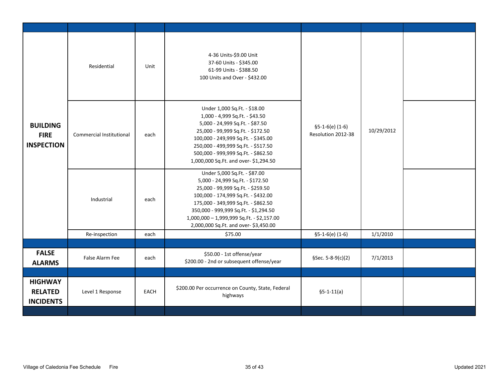<span id="page-36-0"></span>

| <b>BUILDING</b><br><b>FIRE</b><br><b>INSPECTION</b>  | Residential              | Unit | 4-36 Units-\$9.00 Unit<br>37-60 Units - \$345.00<br>61-99 Units - \$388.50<br>100 Units and Over - \$432.00                                                                                                                                                                                                       |                                         |            |  |
|------------------------------------------------------|--------------------------|------|-------------------------------------------------------------------------------------------------------------------------------------------------------------------------------------------------------------------------------------------------------------------------------------------------------------------|-----------------------------------------|------------|--|
|                                                      | Commercial Institutional | each | Under 1,000 Sq.Ft. - \$18.00<br>1,000 - 4,999 Sq.Ft. - \$43.50<br>5,000 - 24,999 Sq.Ft. - \$87.50<br>25,000 - 99,999 Sq.Ft. - \$172.50<br>100,000 - 249,999 Sq.Ft. - \$345.00<br>250,000 - 499,999 Sq.Ft. - \$517.50<br>500,000 - 999,999 Sq.Ft. - \$862.50<br>1,000,000 Sq.Ft. and over-\$1,294.50               | $$5-1-6(e) (1-6)$<br>Resolution 2012-38 | 10/29/2012 |  |
|                                                      | Industrial               | each | Under 5,000 Sq.Ft. - \$87.00<br>5,000 - 24,999 Sq.Ft. - \$172.50<br>25,000 - 99,999 Sq.Ft. - \$259.50<br>100,000 - 174,999 Sq.Ft. - \$432.00<br>175,000 - 349,999 Sq.Ft. - \$862.50<br>350,000 - 999,999 Sq.Ft. - \$1,294.50<br>1,000,000 - 1,999,999 Sq.Ft. - \$2,157.00<br>2,000,000 Sq.Ft. and over-\$3,450.00 |                                         |            |  |
|                                                      | Re-inspection            | each | \$75.00                                                                                                                                                                                                                                                                                                           | $$5-1-6(e) (1-6)$                       | 1/1/2010   |  |
|                                                      |                          |      |                                                                                                                                                                                                                                                                                                                   |                                         |            |  |
| <b>FALSE</b><br><b>ALARMS</b>                        | False Alarm Fee          | each | \$50.00 - 1st offense/year<br>\$200.00 - 2nd or subsequent offense/year                                                                                                                                                                                                                                           | §Sec. 5-8-9(c)(2)                       | 7/1/2013   |  |
|                                                      |                          |      |                                                                                                                                                                                                                                                                                                                   |                                         |            |  |
| <b>HIGHWAY</b><br><b>RELATED</b><br><b>INCIDENTS</b> | Level 1 Response         | EACH | \$200.00 Per occurrence on County, State, Federal<br>highways                                                                                                                                                                                                                                                     | $$5-1-11(a)$                            |            |  |
|                                                      |                          |      |                                                                                                                                                                                                                                                                                                                   |                                         |            |  |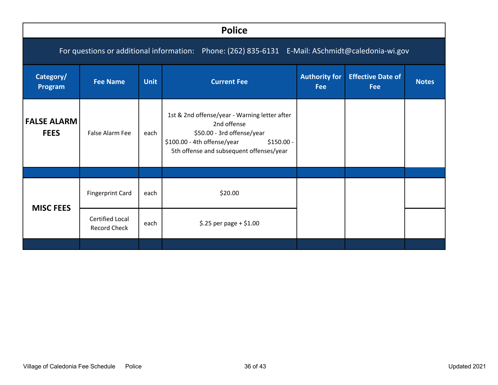<span id="page-37-0"></span>

|                                                                                                  | <b>Police</b>                                                                                        |             |                                                                                                                                                                                      |                                    |                                        |              |  |  |  |  |  |
|--------------------------------------------------------------------------------------------------|------------------------------------------------------------------------------------------------------|-------------|--------------------------------------------------------------------------------------------------------------------------------------------------------------------------------------|------------------------------------|----------------------------------------|--------------|--|--|--|--|--|
| For questions or additional information: Phone: (262) 835-6131 E-Mail: ASchmidt@caledonia-wi.gov |                                                                                                      |             |                                                                                                                                                                                      |                                    |                                        |              |  |  |  |  |  |
| Category/<br>Program                                                                             | <b>Fee Name</b>                                                                                      | <b>Unit</b> | <b>Current Fee</b>                                                                                                                                                                   | <b>Authority for</b><br><b>Fee</b> | <b>Effective Date of</b><br><b>Fee</b> | <b>Notes</b> |  |  |  |  |  |
| <b>FALSE ALARM</b><br><b>FEES</b>                                                                | False Alarm Fee                                                                                      | each        | 1st & 2nd offense/year - Warning letter after<br>2nd offense<br>\$50.00 - 3rd offense/year<br>\$100.00 - 4th offense/year<br>$$150.00 -$<br>5th offense and subsequent offenses/year |                                    |                                        |              |  |  |  |  |  |
|                                                                                                  |                                                                                                      |             |                                                                                                                                                                                      |                                    |                                        |              |  |  |  |  |  |
|                                                                                                  | <b>Fingerprint Card</b>                                                                              | each        | \$20.00                                                                                                                                                                              |                                    |                                        |              |  |  |  |  |  |
|                                                                                                  | <b>MISC FEES</b><br><b>Certified Local</b><br>\$.25 per page + \$1.00<br>each<br><b>Record Check</b> |             |                                                                                                                                                                                      |                                    |                                        |              |  |  |  |  |  |
|                                                                                                  |                                                                                                      |             |                                                                                                                                                                                      |                                    |                                        |              |  |  |  |  |  |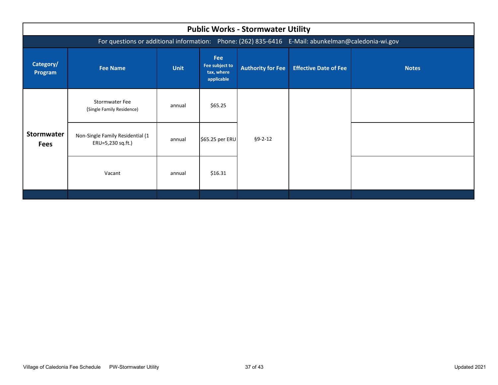<span id="page-38-0"></span>

| <b>Public Works - Stormwater Utility</b>                                                           |                                                       |             |                                                          |                          |                              |              |  |  |  |  |
|----------------------------------------------------------------------------------------------------|-------------------------------------------------------|-------------|----------------------------------------------------------|--------------------------|------------------------------|--------------|--|--|--|--|
| For questions or additional information: Phone: (262) 835-6416 E-Mail: abunkelman@caledonia-wi.gov |                                                       |             |                                                          |                          |                              |              |  |  |  |  |
| Category/<br>Program                                                                               | <b>Fee Name</b>                                       | <b>Unit</b> | <b>Fee</b><br>Fee subject to<br>tax, where<br>applicable | <b>Authority for Fee</b> | <b>Effective Date of Fee</b> | <b>Notes</b> |  |  |  |  |
|                                                                                                    | <b>Stormwater Fee</b><br>(Single Family Residence)    | annual      | \$65.25                                                  |                          |                              |              |  |  |  |  |
| <b>Stormwater</b><br><b>Fees</b>                                                                   | Non-Single Family Residential (1<br>ERU=5,230 sq.ft.) | annual      | \$65.25 per ERU                                          | $§9 - 2 - 12$            |                              |              |  |  |  |  |
|                                                                                                    | Vacant                                                | annual      | \$16.31                                                  |                          |                              |              |  |  |  |  |
|                                                                                                    |                                                       |             |                                                          |                          |                              |              |  |  |  |  |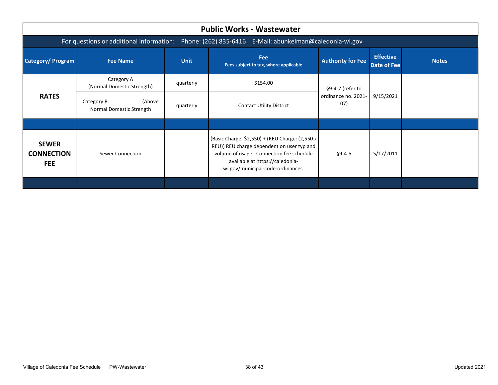<span id="page-39-0"></span>

| <b>Public Works - Wastewater</b>                                                                   |                                                                                                                                         |           |                                                                                                                                                                                                                    |                             |           |              |  |  |  |  |
|----------------------------------------------------------------------------------------------------|-----------------------------------------------------------------------------------------------------------------------------------------|-----------|--------------------------------------------------------------------------------------------------------------------------------------------------------------------------------------------------------------------|-----------------------------|-----------|--------------|--|--|--|--|
| For questions or additional information: Phone: (262) 835-6416 E-Mail: abunkelman@caledonia-wi.gov |                                                                                                                                         |           |                                                                                                                                                                                                                    |                             |           |              |  |  |  |  |
| <b>Category/Program</b>                                                                            | <b>Fee</b><br><b>Unit</b><br><b>Authority for Fee</b><br><b>Fee Name</b><br><b>Date of Fee</b><br>Fees subject to tax, where applicable |           |                                                                                                                                                                                                                    |                             |           | <b>Notes</b> |  |  |  |  |
|                                                                                                    | Category A<br>(Normal Domestic Strength)                                                                                                | quarterly | \$154.00                                                                                                                                                                                                           | §9-4-7 (refer to            | 9/15/2021 |              |  |  |  |  |
| <b>RATES</b>                                                                                       | (Above<br>Category B<br>Normal Domestic Strength                                                                                        | quarterly | <b>Contact Utility District</b>                                                                                                                                                                                    | ordinance no. 2021-<br>(07) |           |              |  |  |  |  |
|                                                                                                    |                                                                                                                                         |           |                                                                                                                                                                                                                    |                             |           |              |  |  |  |  |
| <b>SEWER</b><br><b>CONNECTION</b><br><b>FEE</b>                                                    | Sewer Connection                                                                                                                        |           | (Basic Charge: \$2,550) + (REU Charge: (2,550 x)<br>REU)) REU charge dependent on user typ and<br>volume of usage. Connection fee schedule<br>available at https://caledonia-<br>wi.gov/municipal-code-ordinances. | $§9 - 4 - 5$                | 5/17/2011 |              |  |  |  |  |
|                                                                                                    |                                                                                                                                         |           |                                                                                                                                                                                                                    |                             |           |              |  |  |  |  |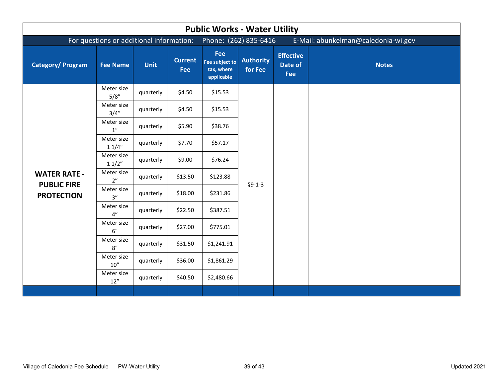<span id="page-40-0"></span>

| <b>Public Works - Water Utility</b>                            |                                          |             |                       |                                                              |                             |                                    |              |  |  |
|----------------------------------------------------------------|------------------------------------------|-------------|-----------------------|--------------------------------------------------------------|-----------------------------|------------------------------------|--------------|--|--|
|                                                                | For questions or additional information: |             |                       | E-Mail: abunkelman@caledonia-wi.gov<br>Phone: (262) 835-6416 |                             |                                    |              |  |  |
| <b>Category/Program</b>                                        | <b>Fee Name</b>                          | <b>Unit</b> | <b>Current</b><br>Fee | Fee<br>Fee subject to<br>tax, where<br>applicable            | <b>Authority</b><br>for Fee | <b>Effective</b><br>Date of<br>Fee | <b>Notes</b> |  |  |
|                                                                | Meter size<br>5/8"                       | quarterly   | \$4.50                | \$15.53                                                      |                             |                                    |              |  |  |
|                                                                | Meter size<br>3/4''                      | quarterly   | \$4.50                | \$15.53                                                      | $§9-1-3$                    |                                    |              |  |  |
| <b>WATER RATE -</b><br><b>PUBLIC FIRE</b><br><b>PROTECTION</b> | Meter size<br>1''                        | quarterly   | \$5.90                | \$38.76                                                      |                             |                                    |              |  |  |
|                                                                | Meter size<br>11/4"                      | quarterly   | \$7.70                | \$57.17                                                      |                             |                                    |              |  |  |
|                                                                | Meter size<br>11/2"                      | quarterly   | \$9.00                | \$76.24                                                      |                             |                                    |              |  |  |
|                                                                | Meter size<br>2 <sup>n</sup>             | quarterly   | \$13.50               | \$123.88                                                     |                             |                                    |              |  |  |
|                                                                | Meter size<br>3''                        | quarterly   | \$18.00               | \$231.86                                                     |                             |                                    |              |  |  |
|                                                                | Meter size<br>4"                         | quarterly   | \$22.50               | \$387.51                                                     |                             |                                    |              |  |  |
|                                                                | Meter size<br>6"                         | quarterly   | \$27.00               | \$775.01                                                     |                             |                                    |              |  |  |
|                                                                | Meter size<br>8"                         | quarterly   | \$31.50               | \$1,241.91                                                   |                             |                                    |              |  |  |
|                                                                | Meter size<br>10''                       | quarterly   | \$36.00               | \$1,861.29                                                   |                             |                                    |              |  |  |
|                                                                | Meter size<br>12''                       | quarterly   | \$40.50               | \$2,480.66                                                   |                             |                                    |              |  |  |
|                                                                |                                          |             |                       |                                                              |                             |                                    |              |  |  |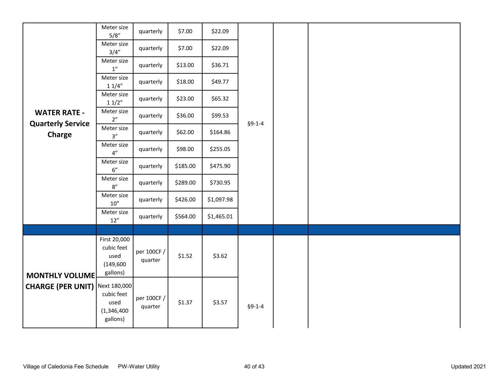<span id="page-41-0"></span>

|                                                 | Meter size<br>5/8"                                            | quarterly              | \$7.00   | \$22.09    |          |  |  |
|-------------------------------------------------|---------------------------------------------------------------|------------------------|----------|------------|----------|--|--|
|                                                 | Meter size<br>3/4''                                           | quarterly              | \$7.00   | \$22.09    |          |  |  |
|                                                 | Meter size<br>$1^{\prime\prime}$                              | quarterly              | \$13.00  | \$36.71    |          |  |  |
|                                                 | Meter size<br>11/4"                                           | quarterly              | \$18.00  | \$49.77    |          |  |  |
|                                                 | Meter size<br>11/2"                                           | quarterly              | \$23.00  | \$65.32    |          |  |  |
| <b>WATER RATE -</b><br><b>Quarterly Service</b> | Meter size<br>2"                                              | quarterly              | \$36.00  | \$99.53    | $§9-1-4$ |  |  |
| <b>Charge</b>                                   | Meter size<br>$3''$                                           | quarterly              | \$62.00  | \$164.86   |          |  |  |
|                                                 | Meter size<br>$4"$                                            | quarterly              | \$98.00  | \$255.05   |          |  |  |
|                                                 | Meter size<br>$6"$                                            | quarterly              | \$185.00 | \$475.90   |          |  |  |
|                                                 | Meter size<br>$8''$                                           | quarterly              | \$289.00 | \$730.95   |          |  |  |
|                                                 | Meter size<br>$10''$                                          | quarterly              | \$426.00 | \$1,097.98 |          |  |  |
|                                                 | Meter size<br>$12''$                                          | quarterly              | \$564.00 | \$1,465.01 |          |  |  |
|                                                 |                                                               |                        |          |            |          |  |  |
| <b>MONTHLY VOLUME</b>                           | First 20,000<br>cubic feet<br>used<br>(149, 600)<br>gallons)  | per 100CF /<br>quarter | \$1.52   | \$3.62     |          |  |  |
| <b>CHARGE (PER UNIT)</b>                        | Next 180,000<br>cubic feet<br>used<br>(1,346,400)<br>gallons) | per 100CF /<br>quarter | \$1.37   | \$3.57     | $§9-1-4$ |  |  |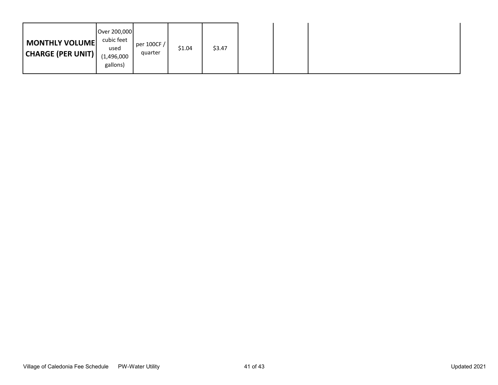|--|--|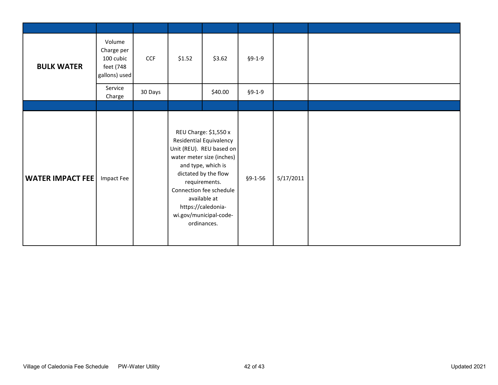<span id="page-43-0"></span>

| <b>BULK WATER</b>       | Volume<br>Charge per<br>100 cubic<br>feet (748<br>gallons) used | <b>CCF</b> | \$1.52                                                                                                                                                                                                                                                                                    | \$3.62  | $§9-1-9$      |           |  |
|-------------------------|-----------------------------------------------------------------|------------|-------------------------------------------------------------------------------------------------------------------------------------------------------------------------------------------------------------------------------------------------------------------------------------------|---------|---------------|-----------|--|
|                         | Service<br>Charge                                               | 30 Days    |                                                                                                                                                                                                                                                                                           | \$40.00 | $§9-1-9$      |           |  |
|                         |                                                                 |            |                                                                                                                                                                                                                                                                                           |         |               |           |  |
| <b>WATER IMPACT FEE</b> | Impact Fee                                                      |            | REU Charge: \$1,550 x<br><b>Residential Equivalency</b><br>Unit (REU). REU based on<br>water meter size (inches)<br>and type, which is<br>dictated by the flow<br>requirements.<br>Connection fee schedule<br>available at<br>https://caledonia-<br>wi.gov/municipal-code-<br>ordinances. |         | $§9 - 1 - 56$ | 5/17/2011 |  |